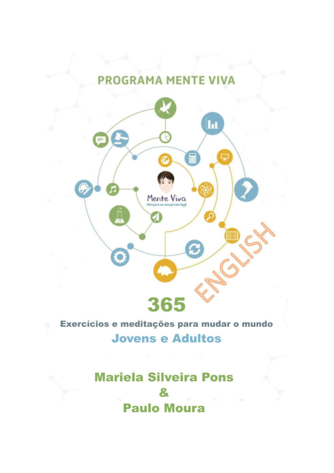# **PROGRAMA MENTE VIVA**



**Mariela Silveira Pons** & **Paulo Moura**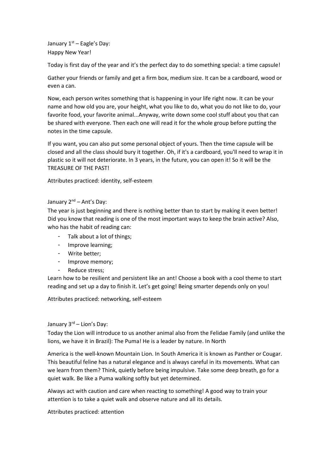January  $1<sup>st</sup>$  – Eagle's Day: Happy New Year!

Today is first day of the year and it's the perfect day to do something special: a time capsule!

Gather your friends or family and get a firm box, medium size. It can be a cardboard, wood or even a can.

Now, each person writes something that is happening in your life right now. It can be your name and how old you are, your height, what you like to do, what you do not like to do, your favorite food, your favorite animal...Anyway, write down some cool stuff about you that can be shared with everyone. Then each one will read it for the whole group before putting the notes in the time capsule.

If you want, you can also put some personal object of yours. Then the time capsule will be closed and all the class should bury it together. Oh, if it's a cardboard, you'll need to wrap it in plastic so it will not deteriorate. In 3 years, in the future, you can open it! So it will be the TREASURE OF THE PAST!

Attributes practiced: identity, self-esteem

#### January 2<sup>nd</sup> – Ant's Day:

The year is just beginning and there is nothing better than to start by making it even better! Did you know that reading is one of the most important ways to keep the brain active? Also, who has the habit of reading can:

- Talk about a lot of things;
- Improve learning;
- Write better;
- Improve memory;
- Reduce stress;

Learn how to be resilient and persistent like an ant! Choose a book with a cool theme to start reading and set up a day to finish it. Let's get going! Being smarter depends only on you!

Attributes practiced: networking, self-esteem

## January 3<sup>rd</sup> – Lion's Day:

Today the Lion will introduce to us another animal also from the Felidae Family (and unlike the lions, we have it in Brazil): The Puma! He is a leader by nature. In North

America is the well-known Mountain Lion. In South America it is known as Panther or Cougar. This beautiful feline has a natural elegance and is always careful in its movements. What can we learn from them? Think, quietly before being impulsive. Take some deep breath, go for a quiet walk. Be like a Puma walking softly but yet determined.

Always act with caution and care when reacting to something! A good way to train your attention is to take a quiet walk and observe nature and all its details.

Attributes practiced: attention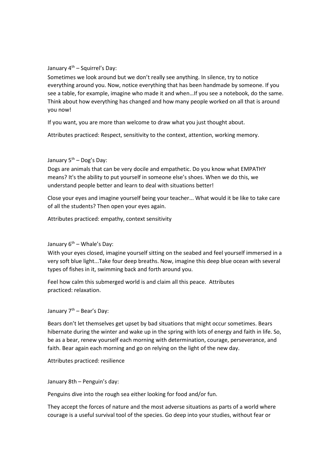January  $4<sup>th</sup>$  – Squirrel's Day:

Sometimes we look around but we don't really see anything. In silence, try to notice everything around you. Now, notice everything that has been handmade by someone. If you see a table, for example, imagine who made it and when…If you see a notebook, do the same. Think about how everything has changed and how many people worked on all that is around you now!

If you want, you are more than welcome to draw what you just thought about.

Attributes practiced: Respect, sensitivity to the context, attention, working memory.

#### January  $5<sup>th</sup>$  – Dog's Day:

Dogs are animals that can be very docile and empathetic. Do you know what EMPATHY means? It's the ability to put yourself in someone else's shoes. When we do this, we understand people better and learn to deal with situations better!

Close your eyes and imagine yourself being your teacher... What would it be like to take care of all the students? Then open your eyes again.

Attributes practiced: empathy, context sensitivity

January  $6<sup>th</sup>$  – Whale's Day:

With your eyes closed, imagine yourself sitting on the seabed and feel yourself immersed in a very soft blue light...Take four deep breaths. Now, imagine this deep blue ocean with several types of fishes in it, swimming back and forth around you.

Feel how calm this submerged world is and claim all this peace. Attributes practiced: relaxation.

#### January  $7<sup>th</sup>$  – Bear's Day:

Bears don't let themselves get upset by bad situations that might occur sometimes. Bears hibernate during the winter and wake up in the spring with lots of energy and faith in life. So, be as a bear, renew yourself each morning with determination, courage, perseverance, and faith. Bear again each morning and go on relying on the light of the new day.

Attributes practiced: resilience

January 8th – Penguin's day:

Penguins dive into the rough sea either looking for food and/or fun.

They accept the forces of nature and the most adverse situations as parts of a world where courage is a useful survival tool of the species. Go deep into your studies, without fear or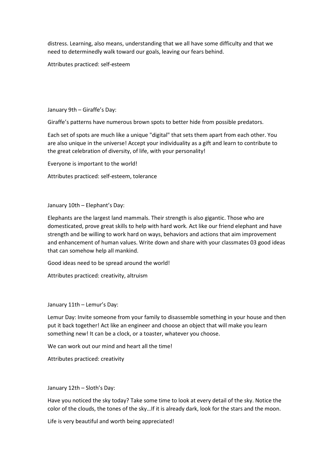distress. Learning, also means, understanding that we all have some difficulty and that we need to determinedly walk toward our goals, leaving our fears behind.

Attributes practiced: self-esteem

January 9th – Giraffe's Day:

Giraffe's patterns have numerous brown spots to better hide from possible predators.

Each set of spots are much like a unique "digital" that sets them apart from each other. You are also unique in the universe! Accept your individuality as a gift and learn to contribute to the great celebration of diversity, of life, with your personality!

Everyone is important to the world!

Attributes practiced: self-esteem, tolerance

January 10th – Elephant's Day:

Elephants are the largest land mammals. Their strength is also gigantic. Those who are domesticated, prove great skills to help with hard work. Act like our friend elephant and have strength and be willing to work hard on ways, behaviors and actions that aim improvement and enhancement of human values. Write down and share with your classmates 03 good ideas that can somehow help all mankind.

Good ideas need to be spread around the world!

Attributes practiced: creativity, altruism

January 11th – Lemur's Day:

Lemur Day: Invite someone from your family to disassemble something in your house and then put it back together! Act like an engineer and choose an object that will make you learn something new! It can be a clock, or a toaster, whatever you choose.

We can work out our mind and heart all the time!

Attributes practiced: creativity

January 12th – Sloth's Day:

Have you noticed the sky today? Take some time to look at every detail of the sky. Notice the color of the clouds, the tones of the sky…If it is already dark, look for the stars and the moon.

Life is very beautiful and worth being appreciated!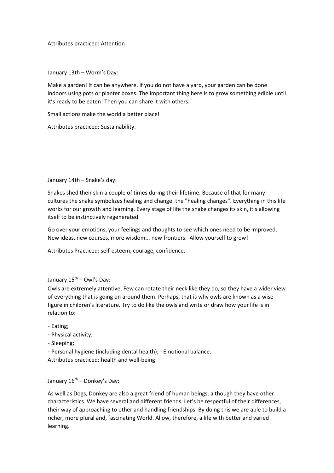Attributes practiced: Attention

January 13th – Worm's Day:

Make a garden! It can be anywhere. If you do not have a yard, your garden can be done indoors using pots or planter boxes. The important thing here is to grow something edible until it's ready to be eaten! Then you can share it with others.

Small actions make the world a better place!

Attributes practiced: Sustainability.

January 14th – Snake's day:

Snakes shed their skin a couple of times during their lifetime. Because of that for many cultures the snake symbolizes healing and change. the "healing changes". Everything in this life works for our growth and learning. Every stage of life the snake changes its skin, it's allowing itself to be instinctively regenerated.

Go over your emotions, your feelings and thoughts to see which ones need to be improved. New ideas, new courses, more wisdom... new frontiers. Allow yourself to grow!

Attributes Practiced: self-esteem, courage, confidence.

#### January  $15^{th}$  – Owl's Day:

Owls are extremely attentive. Few can rotate their neck like they do, so they have a wider view of everything that is going on around them. Perhaps, that is why owls are known as a wise figure in children's literature. Try to do like the owls and write or draw how your life is in relation to:

- Eating;
- Physical activity;
- Sleeping;

- Personal hygiene (including dental health); - Emotional balance. Attributes practiced: health and well-being

January  $16^{th}$  – Donkey's Day:

As well as Dogs, Donkey are also a great friend of human beings, although they have other characteristics. We have several and different friends. Let's be respectful of their differences, their way of approaching to other and handling friendships. By doing this we are able to build a richer, more plural and, fascinating World. Allow, therefore, a life with better and varied learning.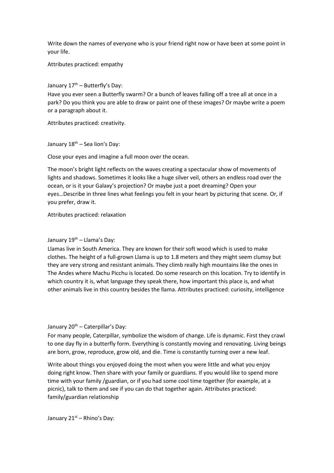Write down the names of everyone who is your friend right now or have been at some point in your life.

Attributes practiced: empathy

January  $17<sup>th</sup>$  – Butterfly's Day:

Have you ever seen a Butterfly swarm? Or a bunch of leaves falling off a tree all at once in a park? Do you think you are able to draw or paint one of these images? Or maybe write a poem or a paragraph about it.

Attributes practiced: creativity.

January 18<sup>th</sup> – Sea lion's Day:

Close your eyes and imagine a full moon over the ocean.

The moon's bright light reflects on the waves creating a spectacular show of movements of lights and shadows. Sometimes it looks like a huge silver veil, others an endless road over the ocean, or is it your Galaxy's projection? Or maybe just a poet dreaming? Open your eyes…Describe in three lines what feelings you felt in your heart by picturing that scene. Or, if you prefer, draw it.

Attributes practiced: relaxation

January 19<sup>th</sup> – Llama's Day:

Llamas live in South America. They are known for their soft wood which is used to make clothes. The height of a full-grown Llama is up to 1.8 meters and they might seem clumsy but they are very strong and resistant animals. They climb really high mountains like the ones in The Andes where Machu Picchu is located. Do some research on this location. Try to identify in which country it is, what language they speak there, how important this place is, and what other animals live in this country besides the llama. Attributes practiced: curiosity, intelligence

January 20<sup>th</sup> – Caterpillar's Day:

For many people, Caterpillar, symbolize the wisdom of change. Life is dynamic. First they crawl to one day fly in a butterfly form. Everything is constantly moving and renovating. Living beings are born, grow, reproduce, grow old, and die. Time is constantly turning over a new leaf.

Write about things you enjoyed doing the most when you were little and what you enjoy doing right know. Then share with your family or guardians. If you would like to spend more time with your family /guardian, or if you had some cool time together (for example, at a picnic), talk to them and see if you can do that together again. Attributes practiced: family/guardian relationship

January  $21^{st}$  – Rhino's Day: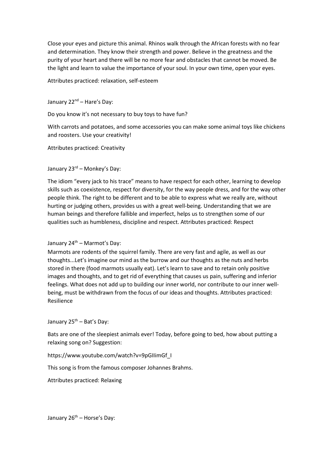Close your eyes and picture this animal. Rhinos walk through the African forests with no fear and determination. They know their strength and power. Believe in the greatness and the purity of your heart and there will be no more fear and obstacles that cannot be moved. Be the light and learn to value the importance of your soul. In your own time, open your eyes.

Attributes practiced: relaxation, self-esteem

January 22<sup>nd</sup> – Hare's Day:

Do you know it's not necessary to buy toys to have fun?

With carrots and potatoes, and some accessories you can make some animal toys like chickens and roosters. Use your creativity!

Attributes practiced: Creativity

January 23rd - Monkey's Day:

The idiom "every jack to his trace" means to have respect for each other, learning to develop skills such as coexistence, respect for diversity, for the way people dress, and for the way other people think. The right to be different and to be able to express what we really are, without hurting or judging others, provides us with a great well-being. Understanding that we are human beings and therefore fallible and imperfect, helps us to strengthen some of our qualities such as humbleness, discipline and respect. Attributes practiced: Respect

#### January 24<sup>th</sup> – Marmot's Day:

Marmots are rodents of the squirrel family. There are very fast and agile, as well as our thoughts...Let's imagine our mind as the burrow and our thoughts as the nuts and herbs stored in there (food marmots usually eat). Let's learn to save and to retain only positive images and thoughts, and to get rid of everything that causes us pain, suffering and inferior feelings. What does not add up to building our inner world, nor contribute to our inner wellbeing, must be withdrawn from the focus of our ideas and thoughts. Attributes practiced: Resilience

January  $25^{th}$  – Bat's Day:

Bats are one of the sleepiest animals ever! Today, before going to bed, how about putting a relaxing song on? Suggestion:

https://www.youtube.com/watch?v=9pGIIimGf\_I

This song is from the famous composer Johannes Brahms.

Attributes practiced: Relaxing

January 26<sup>th</sup> – Horse's Day: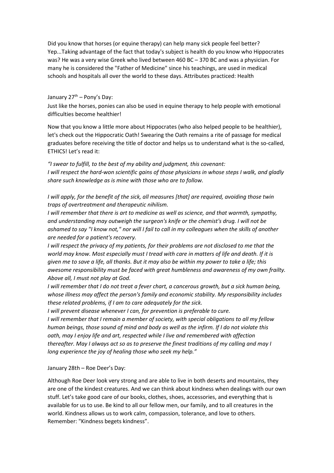Did you know that horses (or equine therapy) can help many sick people feel better? Yep...Taking advantage of the fact that today's subject is health do you know who Hippocrates was? He was a very wise Greek who lived between 460 BC – 370 BC and was a physician. For many he is considered the "Father of Medicine" since his teachings, are used in medical schools and hospitals all over the world to these days. Attributes practiced: Health

#### January 27<sup>th</sup> – Pony's Day:

Just like the horses, ponies can also be used in equine therapy to help people with emotional difficulties become healthier!

Now that you know a little more about Hippocrates (who also helped people to be healthier), let's check out the Hippocratic Oath! Swearing the Oath remains a rite of passage for medical graduates before receiving the title of doctor and helps us to understand what is the so-called, ETHICS! Let's read it:

*"I swear to fulfill, to the best of my ability and judgment, this covenant: I will respect the hard-won scientific gains of those physicians in whose steps I walk, and gladly share such knowledge as is mine with those who are to follow.* 

*I will apply, for the benefit of the sick, all measures [that] are required, avoiding those twin traps of overtreatment and therapeutic nihilism.* 

*I will remember that there is art to medicine as well as science, and that warmth, sympathy, and understanding may outweigh the surgeon's knife or the chemist's drug. I will not be ashamed to say "I know not," nor will I fail to call in my colleagues when the skills of another are needed for a patient's recovery.* 

*I will respect the privacy of my patients, for their problems are not disclosed to me that the world may know. Most especially must I tread with care in matters of life and death. If it is given me to save a life, all thanks. But it may also be within my power to take a life; this awesome responsibility must be faced with great humbleness and awareness of my own frailty. Above all, I must not play at God.* 

*I will remember that I do not treat a fever chart, a cancerous growth, but a sick human being, whose illness may affect the person's family and economic stability. My responsibility includes these related problems, if I am to care adequately for the sick.* 

*I will prevent disease whenever I can, for prevention is preferable to cure.* 

*I will remember that I remain a member of society, with special obligations to all my fellow human beings, those sound of mind and body as well as the infirm. If I do not violate this oath, may I enjoy life and art, respected while I live and remembered with affection thereafter. May I always act so as to preserve the finest traditions of my calling and may I long experience the joy of healing those who seek my help."* 

#### January 28th – Roe Deer's Day:

Although Roe Deer look very strong and are able to live in both deserts and mountains, they are one of the kindest creatures. And we can think about kindness when dealings with our own stuff. Let's take good care of our books, clothes, shoes, accessories, and everything that is available for us to use. Be kind to all our fellow men, our family, and to all creatures in the world. Kindness allows us to work calm, compassion, tolerance, and love to others. Remember: "Kindness begets kindness".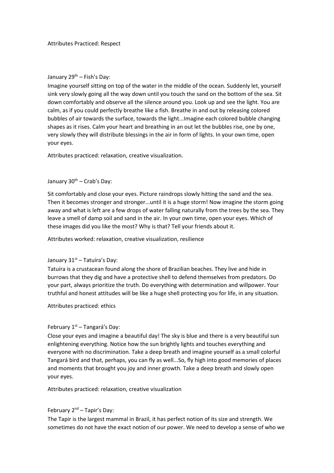#### January 29<sup>th</sup> – Fish's Day:

Imagine yourself sitting on top of the water in the middle of the ocean. Suddenly let, yourself sink very slowly going all the way down until you touch the sand on the bottom of the sea. Sit down comfortably and observe all the silence around you. Look up and see the light. You are calm, as if you could perfectly breathe like a fish. Breathe in and out by releasing colored bubbles of air towards the surface, towards the light...Imagine each colored bubble changing shapes as it rises. Calm your heart and breathing in an out let the bubbles rise, one by one, very slowly they will distribute blessings in the air in form of lights. In your own time, open your eyes.

Attributes practiced: relaxation, creative visualization.

## January 30<sup>th</sup> – Crab's Day:

Sit comfortably and close your eyes. Picture raindrops slowly hitting the sand and the sea. Then it becomes stronger and stronger...until it is a huge storm! Now imagine the storm going away and what is left are a few drops of water falling naturally from the trees by the sea. They leave a smell of damp soil and sand in the air. In your own time, open your eyes. Which of these images did you like the most? Why is that? Tell your friends about it.

Attributes worked: relaxation, creative visualization, resilience

## January  $31<sup>st</sup> - Tatuíra's Day$ :

Tatuíra is a crustacean found along the shore of Brazilian beaches. They live and hide in burrows that they dig and have a protective shell to defend themselves from predators. Do your part, always prioritize the truth. Do everything with determination and willpower. Your truthful and honest attitudes will be like a huge shell protecting you for life, in any situation.

Attributes practiced: ethics

## February  $1<sup>st</sup>$  – Tangará's Day:

Close your eyes and imagine a beautiful day! The sky is blue and there is a very beautiful sun enlightening everything. Notice how the sun brightly lights and touches everything and everyone with no discrimination. Take a deep breath and imagine yourself as a small colorful Tangará bird and that, perhaps, you can fly as well...So, fly high into good memories of places and moments that brought you joy and inner growth. Take a deep breath and slowly open your eyes.

Attributes practiced: relaxation, creative visualization

## February  $2^{nd}$  – Tapir's Day:

The Tapir is the largest mammal in Brazil, it has perfect notion of its size and strength. We sometimes do not have the exact notion of our power. We need to develop a sense of who we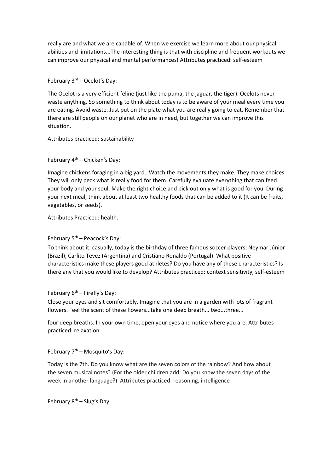really are and what we are capable of. When we exercise we learn more about our physical abilities and limitations...The interesting thing is that with discipline and frequent workouts we can improve our physical and mental performances! Attributes practiced: self-esteem

February 3rd – Ocelot's Day:

The Ocelot is a very efficient feline (just like the puma, the jaguar, the tiger). Ocelots never waste anything. So something to think about today is to be aware of your meal every time you are eating. Avoid waste. Just put on the plate what you are really going to eat. Remember that there are still people on our planet who are in need, but together we can improve this situation.

Attributes practiced: sustainability

February 4<sup>th</sup> – Chicken's Day:

Imagine chickens foraging in a big yard…Watch the movements they make. They make choices. They will only peck what is really food for them. Carefully evaluate everything that can feed your body and your soul. Make the right choice and pick out only what is good for you. During your next meal, think about at least two healthy foods that can be added to it (It can be fruits, vegetables, or seeds).

Attributes Practiced: health.

February 5<sup>th</sup> – Peacock's Day:

To think about it: casually, today is the birthday of three famous soccer players: Neymar Júnior (Brazil), Carlito Tevez (Argentina) and Cristiano Ronaldo (Portugal). What positive characteristics make these players good athletes? Do you have any of these characteristics? Is there any that you would like to develop? Attributes practiced: context sensitivity, self-esteem

February  $6<sup>th</sup>$  – Firefly's Day:

Close your eyes and sit comfortably. Imagine that you are in a garden with lots of fragrant flowers. Feel the scent of these flowers...take one deep breath... two...three...

four deep breaths. In your own time, open your eyes and notice where you are. Attributes practiced: relaxation

February  $7<sup>th</sup>$  – Mosquito's Day:

Today is the 7th. Do you know what are the seven colors of the rainbow? And how about the seven musical notes? (For the older children add: Do you know the seven days of the week in another language?) Attributes practiced: reasoning, intelligence

February  $8<sup>th</sup>$  – Slug's Day: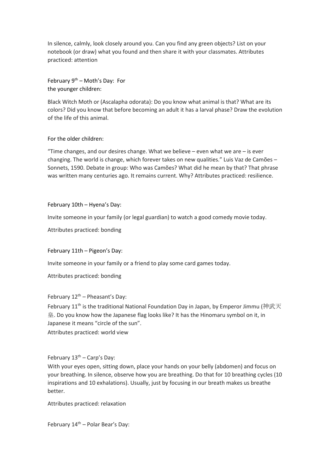In silence, calmly, look closely around you. Can you find any green objects? List on your notebook (or draw) what you found and then share it with your classmates. Attributes practiced: attention

February  $9^{th}$  – Moth's Day: For the younger children:

Black Witch Moth or (Ascalapha odorata): Do you know what animal is that? What are its colors? Did you know that before becoming an adult it has a larval phase? Draw the evolution of the life of this animal.

For the older children:

"Time changes, and our desires change. What we believe – even what we are – is ever changing. The world is change, which forever takes on new qualities." Luis Vaz de Camões – Sonnets, 1590. Debate in group: Who was Camões? What did he mean by that? That phrase was written many centuries ago. It remains current. Why? Attributes practiced: resilience.

February 10th – Hyena's Day:

Invite someone in your family (or legal guardian) to watch a good comedy movie today.

Attributes practiced: bonding

February 11th – Pigeon's Day:

Invite someone in your family or a friend to play some card games today.

Attributes practiced: bonding

February  $12^{th}$  – Pheasant's Day:

February 11<sup>th</sup> is the traditional National Foundation Day in Japan, by Emperor Jimmu (神武天 皇. Do you know how the Japanese flag looks like? It has the Hinomaru symbol on it, in Japanese it means "circle of the sun".

Attributes practiced: world view

February  $13<sup>th</sup>$  – Carp's Day:

With your eyes open, sitting down, place your hands on your belly (abdomen) and focus on your breathing. In silence, observe how you are breathing. Do that for 10 breathing cycles (10 inspirations and 10 exhalations). Usually, just by focusing in our breath makes us breathe better.

Attributes practiced: relaxation

February  $14<sup>th</sup>$  – Polar Bear's Day: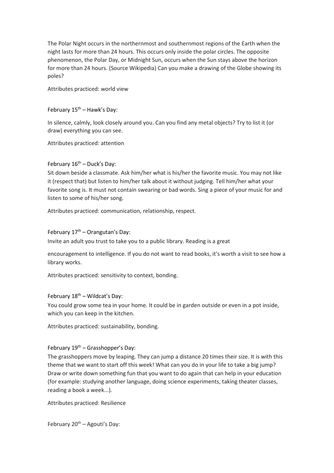The Polar Night occurs in the northernmost and southernmost regions of the Earth when the night lasts for more than 24 hours. This occurs only inside the polar circles. The opposite phenomenon, the Polar Day, or Midnight Sun, occurs when the Sun stays above the horizon for more than 24 hours. (Source Wikipedia) Can you make a drawing of the Globe showing its poles?

Attributes practiced: world view

## February  $15^{th}$  – Hawk's Day:

In silence, calmly, look closely around you. Can you find any metal objects? Try to list it (or draw) everything you can see.

Attributes practiced: attention

#### February  $16^{th}$  – Duck's Day:

Sit down beside a classmate. Ask him/her what is his/her the favorite music. You may not like it (respect that) but listen to him/her talk about it without judging. Tell him/her what your favorite song is. It must not contain swearing or bad words. Sing a piece of your music for and listen to some of his/her song.

Attributes practiced: communication, relationship, respect.

#### February  $17<sup>th</sup>$  – Orangutan's Day:

Invite an adult you trust to take you to a public library. Reading is a great

encouragement to intelligence. If you do not want to read books, it's worth a visit to see how a library works.

Attributes practiced: sensitivity to context, bonding.

#### February  $18<sup>th</sup>$  – Wildcat's Day:

You could grow some tea in your home. It could be in garden outside or even in a pot inside, which you can keep in the kitchen.

Attributes practiced: sustainability, bonding.

#### February  $19<sup>th</sup>$  – Grasshopper's Day:

The grasshoppers move by leaping. They can jump a distance 20 times their size. It is with this theme that we want to start off this week! What can you do in your life to take a big jump? Draw or write down something fun that you want to do again that can help in your education (for example: studying another language, doing science experiments, taking theater classes, reading a book a week...).

Attributes practiced: Resilience

February  $20<sup>th</sup>$  – Agouti's Day: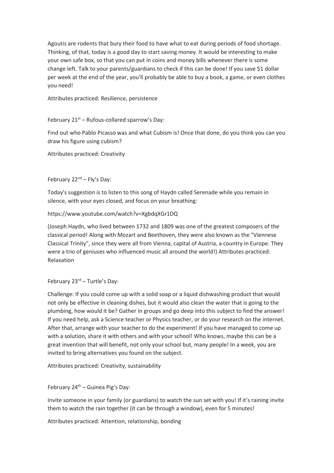Agoutis are rodents that bury their food to have what to eat during periods of food shortage. Thinking, of that, today is a good day to start saving money. It would be interesting to make your own safe box, so that you can put in coins and money bills whenever there is some change left. Talk to your parents/guardians to check if this can be done! If you save \$1 dollar per week at the end of the year, you'll probably be able to buy a book, a game, or even clothes you need!

Attributes practiced: Resilience, persistence

February  $21^{st}$  – Rufous-collared sparrow's Day:

Find out who Pablo Picasso was and what Cubism is! Once that done, do you think you can you draw his figure using cubism?

Attributes practiced: Creativity

February  $22^{nd}$  – Fly's Day:

Today's suggestion is to listen to this song of Haydn called Serenade while you remain in silence, with your eyes closed, and focus on your breathing:

https://www.youtube.com/watch?v=XgbdqXGr1DQ

(Joseph Haydn, who lived between 1732 and 1809 was one of the greatest composers of the classical period! Along with Mozart and Beethoven, they were also known as the "Viennese Classical Trinity", since they were all from Vienna, capital of Austria, a country in Europe. They were a trio of geniuses who influenced music all around the world!) Attributes practiced: Relaxation

February 23<sup>rd</sup> – Turtle's Day:

Challenge: If you could come up with a solid soap or a liquid dishwashing product that would not only be effective in cleaning dishes, but it would also clean the water that is going to the plumbing, how would it be? Gather in groups and go deep into this subject to find the answer! If you need help, ask a Science teacher or Physics teacher, or do your research on the internet. After that, arrange with your teacher to do the experiment! If you have managed to come up with a solution, share it with others and with your school! Who knows, maybe this can be a great invention that will benefit, not only your school but, many people! In a week, you are invited to bring alternatives you found on the subject.

Attributes practiced: Creativity, sustainability

February  $24<sup>th</sup>$  – Guinea Pig's Day:

Invite someone in your family (or guardians) to watch the sun set with you! If it's raining invite them to watch the rain together (it can be through a window), even for 5 minutes!

Attributes practiced: Attention, relationship, bonding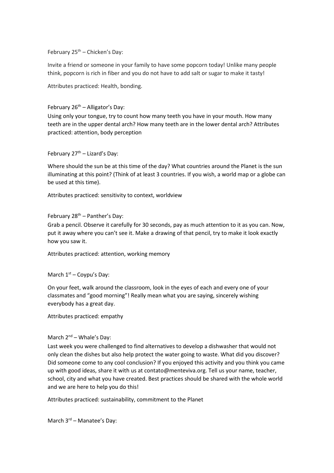February 25<sup>th</sup> – Chicken's Day:

Invite a friend or someone in your family to have some popcorn today! Unlike many people think, popcorn is rich in fiber and you do not have to add salt or sugar to make it tasty!

Attributes practiced: Health, bonding.

## February  $26<sup>th</sup>$  – Alligator's Day:

Using only your tongue, try to count how many teeth you have in your mouth. How many teeth are in the upper dental arch? How many teeth are in the lower dental arch? Attributes practiced: attention, body perception

February  $27<sup>th</sup>$  – Lizard's Day:

Where should the sun be at this time of the day? What countries around the Planet is the sun illuminating at this point? (Think of at least 3 countries. If you wish, a world map or a globe can be used at this time).

Attributes practiced: sensitivity to context, worldview

#### February  $28^{th}$  – Panther's Day:

Grab a pencil. Observe it carefully for 30 seconds, pay as much attention to it as you can. Now, put it away where you can't see it. Make a drawing of that pencil, try to make it look exactly how you saw it.

Attributes practiced: attention, working memory

March  $1<sup>st</sup>$  – Coypu's Day:

On your feet, walk around the classroom, look in the eyes of each and every one of your classmates and "good morning"! Really mean what you are saying, sincerely wishing everybody has a great day.

Attributes practiced: empathy

#### March  $2^{nd}$  – Whale's Day:

Last week you were challenged to find alternatives to develop a dishwasher that would not only clean the dishes but also help protect the water going to waste. What did you discover? Did someone come to any cool conclusion? If you enjoyed this activity and you think you came up with good ideas, share it with us at contato@menteviva.org. Tell us your name, teacher, school, city and what you have created. Best practices should be shared with the whole world and we are here to help you do this!

Attributes practiced: sustainability, commitment to the Planet

March 3<sup>rd</sup> – Manatee's Day: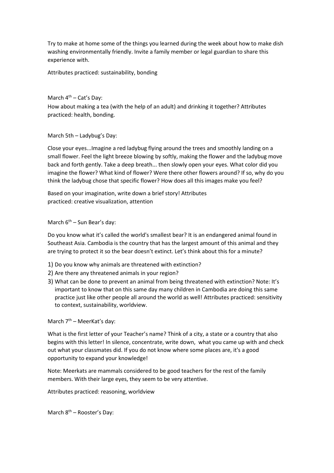Try to make at home some of the things you learned during the week about how to make dish washing environmentally friendly. Invite a family member or legal guardian to share this experience with.

Attributes practiced: sustainability, bonding

March  $4<sup>th</sup>$  – Cat's Dav:

How about making a tea (with the help of an adult) and drinking it together? Attributes practiced: health, bonding.

#### March 5th – Ladybug's Day:

Close your eyes...Imagine a red ladybug flying around the trees and smoothly landing on a small flower. Feel the light breeze blowing by softly, making the flower and the ladybug move back and forth gently. Take a deep breath... then slowly open your eyes. What color did you imagine the flower? What kind of flower? Were there other flowers around? If so, why do you think the ladybug chose that specific flower? How does all this images make you feel?

Based on your imagination, write down a brief story! Attributes practiced: creative visualization, attention

March  $6<sup>th</sup>$  – Sun Bear's day:

Do you know what it's called the world's smallest bear? It is an endangered animal found in Southeast Asia. Cambodia is the country that has the largest amount of this animal and they are trying to protect it so the bear doesn't extinct. Let's think about this for a minute?

- 1) Do you know why animals are threatened with extinction?
- 2) Are there any threatened animals in your region?
- 3) What can be done to prevent an animal from being threatened with extinction? Note: It's important to know that on this same day many children in Cambodia are doing this same practice just like other people all around the world as well! Attributes practiced: sensitivity to context, sustainability, worldview.

March  $7<sup>th</sup>$  – MeerKat's day:

What is the first letter of your Teacher's name? Think of a city, a state or a country that also begins with this letter! In silence, concentrate, write down, what you came up with and check out what your classmates did. If you do not know where some places are, it's a good opportunity to expand your knowledge!

Note: Meerkats are mammals considered to be good teachers for the rest of the family members. With their large eyes, they seem to be very attentive.

Attributes practiced: reasoning, worldview

March  $8<sup>th</sup>$  – Rooster's Day: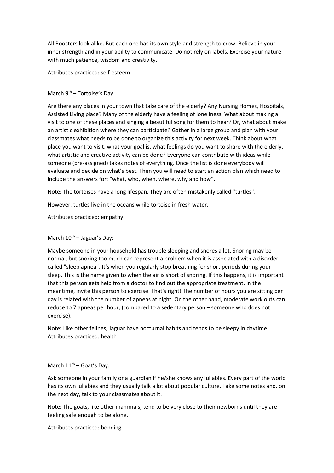All Roosters look alike. But each one has its own style and strength to crow. Believe in your inner strength and in your ability to communicate. Do not rely on labels. Exercise your nature with much patience, wisdom and creativity.

Attributes practiced: self-esteem

#### March  $9<sup>th</sup>$  – Tortoise's Day:

Are there any places in your town that take care of the elderly? Any Nursing Homes, Hospitals, Assisted Living place? Many of the elderly have a feeling of loneliness. What about making a visit to one of these places and singing a beautiful song for them to hear? Or, what about make an artistic exhibition where they can participate? Gather in a large group and plan with your classmates what needs to be done to organize this activity for next week. Think about what place you want to visit, what your goal is, what feelings do you want to share with the elderly, what artistic and creative activity can be done? Everyone can contribute with ideas while someone (pre-assigned) takes notes of everything. Once the list is done everybody will evaluate and decide on what's best. Then you will need to start an action plan which need to include the answers for: "what, who, when, where, why and how".

Note: The tortoises have a long lifespan. They are often mistakenly called "turtles".

However, turtles live in the oceans while tortoise in fresh water.

Attributes practiced: empathy

## March  $10^{th}$  – Jaguar's Day:

Maybe someone in your household has trouble sleeping and snores a lot. Snoring may be normal, but snoring too much can represent a problem when it is associated with a disorder called "sleep apnea". It's when you regularly stop breathing for short periods during your sleep. This is the name given to when the air is short of snoring. If this happens, it is important that this person gets help from a doctor to find out the appropriate treatment. In the meantime, invite this person to exercise. That's right! The number of hours you are sitting per day is related with the number of apneas at night. On the other hand, moderate work outs can reduce to 7 apneas per hour, (compared to a sedentary person – someone who does not exercise).

Note: Like other felines, Jaguar have nocturnal habits and tends to be sleepy in daytime. Attributes practiced: health

March  $11<sup>th</sup>$  – Goat's Day:

Ask someone in your family or a guardian if he/she knows any lullabies. Every part of the world has its own lullabies and they usually talk a lot about popular culture. Take some notes and, on the next day, talk to your classmates about it.

Note: The goats, like other mammals, tend to be very close to their newborns until they are feeling safe enough to be alone.

Attributes practiced: bonding.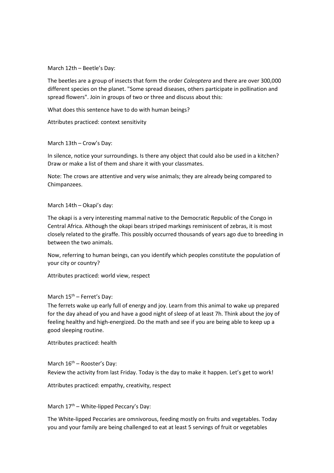March 12th – Beetle's Day:

The beetles are a group of insects that form the order *Coleoptera* and there are over 300,000 different species on the planet. "Some spread diseases, others participate in pollination and spread flowers". Join in groups of two or three and discuss about this:

What does this sentence have to do with human beings?

Attributes practiced: context sensitivity

March 13th – Crow's Day:

In silence, notice your surroundings. Is there any object that could also be used in a kitchen? Draw or make a list of them and share it with your classmates.

Note: The crows are attentive and very wise animals; they are already being compared to Chimpanzees.

March 14th – Okapi's day:

The okapi is a very interesting mammal native to the Democratic Republic of the Congo in Central Africa. Although the okapi bears striped markings reminiscent of zebras, it is most closely related to the giraffe. This possibly occurred thousands of years ago due to breeding in between the two animals.

Now, referring to human beings, can you identify which peoples constitute the population of your city or country?

Attributes practiced: world view, respect

March  $15^{th}$  – Ferret's Day:

The ferrets wake up early full of energy and joy. Learn from this animal to wake up prepared for the day ahead of you and have a good night of sleep of at least 7h. Think about the joy of feeling healthy and high-energized. Do the math and see if you are being able to keep up a good sleeping routine.

Attributes practiced: health

March  $16<sup>th</sup>$  – Rooster's Day: Review the activity from last Friday. Today is the day to make it happen. Let's get to work!

Attributes practiced: empathy, creativity, respect

March 17th – White-lipped Peccary's Day:

The White-lipped Peccaries are omnivorous, feeding mostly on fruits and vegetables. Today you and your family are being challenged to eat at least 5 servings of fruit or vegetables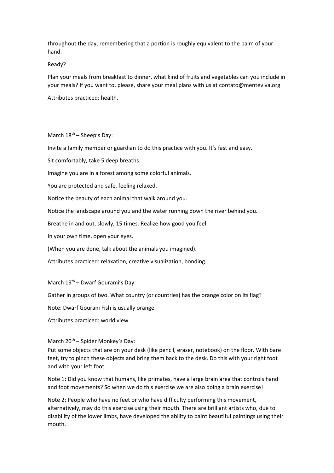throughout the day, remembering that a portion is roughly equivalent to the palm of your hand.

#### Ready?

Plan your meals from breakfast to dinner, what kind of fruits and vegetables can you include in your meals? If you want to, please, share your meal plans with us at contato@menteviva.org

Attributes practiced: health.

March  $18<sup>th</sup>$  – Sheep's Day:

Invite a family member or guardian to do this practice with you. It's fast and easy.

Sit comfortably, take 5 deep breaths.

Imagine you are in a forest among some colorful animals.

You are protected and safe, feeling relaxed.

Notice the beauty of each animal that walk around you.

Notice the landscape around you and the water running down the river behind you.

Breathe in and out, slowly, 15 times. Realize how good you feel.

In your own time, open your eyes.

(When you are done, talk about the animals you imagined).

Attributes practiced: relaxation, creative visualization, bonding.

March 19<sup>th</sup> – Dwarf Gourami's Day:

Gather in groups of two. What country (or countries) has the orange color on its flag?

Note: Dwarf Gourani Fish is usually orange.

Attributes practiced: world view

#### March  $20^{th}$  – Spider Monkey's Day:

Put some objects that are on your desk (like pencil, eraser, notebook) on the floor. With bare feet, try to pinch these objects and bring them back to the desk. Do this with your right foot and with your left foot.

Note 1: Did you know that humans, like primates, have a large brain area that controls hand and foot movements? So when we do this exercise we are also doing a brain exercise!

Note 2: People who have no feet or who have difficulty performing this movement, alternatively, may do this exercise using their mouth. There are brilliant artists who, due to disability of the lower limbs, have developed the ability to paint beautiful paintings using their mouth.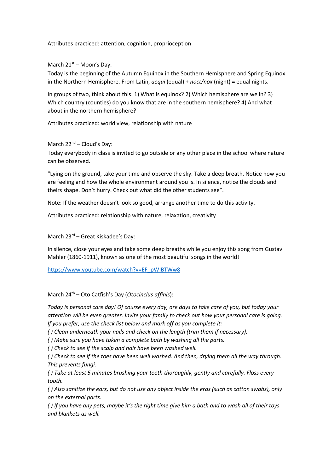Attributes practiced: attention, cognition, proprioception

March  $21^{st}$  – Moon's Day:

Today is the beginning of the Autumn Equinox in the Southern Hemisphere and Spring Equinox in the Northern Hemisphere. From Latin, *aequi* (equal) + *noct/nox* (night) = equal nights.

In groups of two, think about this: 1) What is equinox? 2) Which hemisphere are we in? 3) Which country (counties) do you know that are in the southern hemisphere? 4) And what about in the northern hemisphere?

Attributes practiced: world view, relationship with nature

March 22<sup>nd</sup> – Cloud's Day:

Today everybody in class is invited to go outside or any other place in the school where nature can be observed.

"Lying on the ground, take your time and observe the sky. Take a deep breath. Notice how you are feeling and how the whole environment around you is. In silence, notice the clouds and theirs shape. Don't hurry. Check out what did the other students see".

Note: If the weather doesn't look so good, arrange another time to do this activity.

Attributes practiced: relationship with nature, relaxation, creativity

March 23rd – Great Kiskadee's Day:

In silence, close your eyes and take some deep breaths while you enjoy this song from Gustav Mahler (1860-1911), known as one of the most beautiful songs in the world!

https://www.youtube.com/watch?v=EF\_pWIBTWw8

March 24th – Oto Catfish's Day (*Otocinclus affinis*):

*Today is personal care day! Of course every day, are days to take care of you, but today your attention will be even greater. Invite your family to check out how your personal care is going. If you prefer, use the check list below and mark off as you complete it:*

*( ) Clean underneath your nails and check on the length (trim them if necessary).*

*( ) Make sure you have taken a complete bath by washing all the parts.*

*( ) Check to see if the scalp and hair have been washed well.*

*( ) Check to see if the toes have been well washed. And then, drying them all the way through. This prevents fungi.*

*( ) Take at least 5 minutes brushing your teeth thoroughly, gently and carefully. Floss every tooth.*

*( ) Also sanitize the ears, but do not use any object inside the eras (such as cotton swabs), only on the external parts.*

*( ) If you have any pets, maybe it's the right time give him a bath and to wash all of their toys and blankets as well.*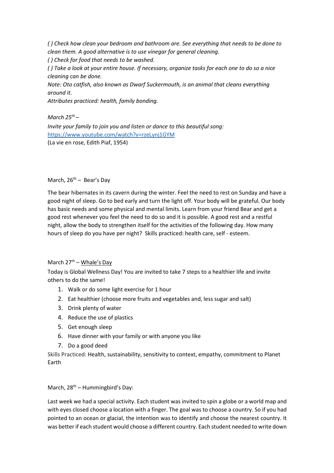*( ) Check how clean your bedroom and bathroom are. See everything that needs to be done to clean them. A good alternative is to use vinegar for general cleaning.*

*( ) Check for food that needs to be washed.*

*( ) Take a look at your entire house. If necessary, organize tasks for each one to do so a nice cleaning can be done.*

*Note: Oto catfish, also known as Dwarf Suckermouth, is an animal that cleans everything around it.*

*Attributes practiced: health, family bonding.*

*March 25th – Invite your family to join you and listen or dance to this beautiful song:* https://www.youtube.com/watch?v=rzeLynj1GYM (La vie en rose, Edith Piaf, 1954)

#### March,  $26<sup>th</sup>$  – Bear's Day

The bear hibernates in its cavern during the winter. Feel the need to rest on Sunday and have a good night of sleep. Go to bed early and turn the light off. Your body will be grateful. Our body has basic needs and some physical and mental limits. Learn from your friend Bear and get a good rest whenever you feel the need to do so and it is possible. A good rest and a restful night, allow the body to strengthen itself for the activities of the following day. How many hours of sleep do you have per night? Skills practiced: health care, self - esteem.

## March  $27<sup>th</sup>$  – Whale's Day

Today is Global Wellness Day! You are invited to take 7 steps to a healthier life and invite others to do the same!

- 1. Walk or do some light exercise for 1 hour
- 2. Eat healthier (choose more fruits and vegetables and, less sugar and salt)
- 3. Drink plenty of water
- 4. Reduce the use of plastics
- 5. Get enough sleep
- 6. Have dinner with your family or with anyone you like
- 7. Do a good deed

Skills Practiced: Health, sustainability, sensitivity to context, empathy, commitment to Planet Earth

#### March,  $28<sup>th</sup>$  – Hummingbird's Day:

Last week we had a special activity. Each student was invited to spin a globe or a world map and with eyes closed choose a location with a finger. The goal was to choose a country. So if you had pointed to an ocean or glacial, the intention was to identify and choose the nearest country. It was better if each student would choose a different country. Each student needed to write down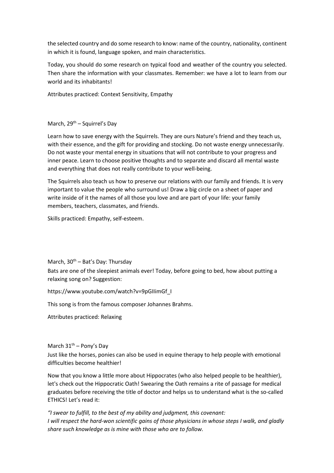the selected country and do some research to know: name of the country, nationality, continent in which it is found, language spoken, and main characteristics.

Today, you should do some research on typical food and weather of the country you selected. Then share the information with your classmates. Remember: we have a lot to learn from our world and its inhabitants!

Attributes practiced: Context Sensitivity, Empathy

March, 29<sup>th</sup> – Squirrel's Day

Learn how to save energy with the Squirrels. They are ours Nature's friend and they teach us, with their essence, and the gift for providing and stocking. Do not waste energy unnecessarily. Do not waste your mental energy in situations that will not contribute to your progress and inner peace. Learn to choose positive thoughts and to separate and discard all mental waste and everything that does not really contribute to your well-being.

The Squirrels also teach us how to preserve our relations with our family and friends. It is very important to value the people who surround us! Draw a big circle on a sheet of paper and write inside of it the names of all those you love and are part of your life: your family members, teachers, classmates, and friends.

Skills practiced: Empathy, self-esteem.

March,  $30^{th}$  – Bat's Day: Thursday

Bats are one of the sleepiest animals ever! Today, before going to bed, how about putting a relaxing song on? Suggestion:

https://www.youtube.com/watch?v=9pGIIimGf\_I

This song is from the famous composer Johannes Brahms.

Attributes practiced: Relaxing

March  $31<sup>th</sup>$  – Pony's Day

Just like the horses, ponies can also be used in equine therapy to help people with emotional difficulties become healthier!

Now that you know a little more about Hippocrates (who also helped people to be healthier), let's check out the Hippocratic Oath! Swearing the Oath remains a rite of passage for medical graduates before receiving the title of doctor and helps us to understand what is the so-called ETHICS! Let's read it:

*"I swear to fulfill, to the best of my ability and judgment, this covenant: I will respect the hard-won scientific gains of those physicians in whose steps I walk, and gladly share such knowledge as is mine with those who are to follow.*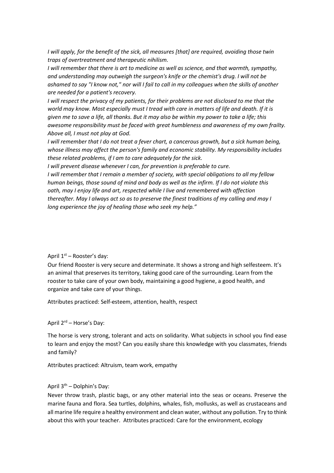*I will apply, for the benefit of the sick, all measures [that] are required, avoiding those twin traps of overtreatment and therapeutic nihilism.* 

*I will remember that there is art to medicine as well as science, and that warmth, sympathy, and understanding may outweigh the surgeon's knife or the chemist's drug. I will not be ashamed to say "I know not," nor will I fail to call in my colleagues when the skills of another are needed for a patient's recovery.* 

*I* will respect the privacy of my patients, for their problems are not disclosed to me that the *world may know. Most especially must I tread with care in matters of life and death. If it is given me to save a life, all thanks. But it may also be within my power to take a life; this awesome responsibility must be faced with great humbleness and awareness of my own frailty. Above all, I must not play at God.* 

*I will remember that I do not treat a fever chart, a cancerous growth, but a sick human being, whose illness may affect the person's family and economic stability. My responsibility includes these related problems, if I am to care adequately for the sick.* 

*I will prevent disease whenever I can, for prevention is preferable to cure.* 

*I will remember that I remain a member of society, with special obligations to all my fellow human beings, those sound of mind and body as well as the infirm. If I do not violate this oath, may I enjoy life and art, respected while I live and remembered with affection thereafter. May I always act so as to preserve the finest traditions of my calling and may I long experience the joy of healing those who seek my help."* 

April  $1<sup>st</sup>$  – Rooster's day:

Our friend Rooster is very secure and determinate. It shows a strong and high selfesteem. It's an animal that preserves its territory, taking good care of the surrounding. Learn from the rooster to take care of your own body, maintaining a good hygiene, a good health, and organize and take care of your things.

Attributes practiced: Self-esteem, attention, health, respect

April 2rd – Horse's Day:

The horse is very strong, tolerant and acts on solidarity. What subjects in school you find ease to learn and enjoy the most? Can you easily share this knowledge with you classmates, friends and family?

Attributes practiced: Altruism, team work, empathy

#### April  $3<sup>th</sup>$  – Dolphin's Day:

Never throw trash, plastic bags, or any other material into the seas or oceans. Preserve the marine fauna and flora. Sea turtles, dolphins, whales, fish, mollusks, as well as crustaceans and all marine life require a healthy environment and clean water, without any pollution. Try to think about this with your teacher. Attributes practiced: Care for the environment, ecology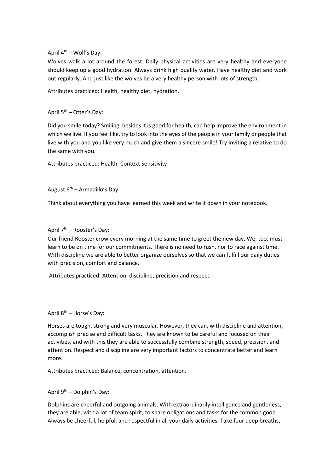#### April  $4<sup>th</sup>$  – Wolf's Day:

Wolves walk a lot around the forest. Daily physical activities are very healthy and everyone should keep up a good hydration. Always drink high quality water. Have healthy diet and work out regularly. And just like the wolves be a very healthy person with lots of strength.

Attributes practiced: Health, healthy diet, hydration.

April  $5<sup>th</sup>$  – Otter's Day:

Did you smile today? Smiling, besides it is good for health, can help improve the environment in which we live. If you feel like, try to look into the eyes of the people in your family or people that live with you and you like very much and give them a sincere smile! Try inviting a relative to do the same with you.

Attributes practiced: Health, Context Sensitivity

August  $6^{th}$  – Armadillo's Day:

Think about everything you have learned this week and write it down in your notebook.

#### April  $7<sup>th</sup>$  – Rooster's Day:

Our friend Rooster crow every morning at the same time to greet the new day. We, too, must learn to be on time for our commitments. There is no need to rush, nor to race against time. With discipline we are able to better organize ourselves so that we can fulfill our daily duties with precision, comfort and balance.

Attributes practiced: Attention, discipline, precision and respect.

#### April  $8<sup>th</sup>$  – Horse's Day:

Horses are tough, strong and very muscular. However, they can, with discipline and attention, accomplish precise and difficult tasks. They are known to be careful and focused on their activities, and with this they are able to successfully combine strength, speed, precision, and attention. Respect and discipline are very important factors to concentrate better and learn more.

Attributes practiced: Balance, concentration, attention.

April  $9<sup>th</sup>$  – Dolphin's Day:

Dolphins are cheerful and outgoing animals. With extraordinarily intelligence and gentleness, they are able, with a lot of team spirit, to share obligations and tasks for the common good. Always be cheerful, helpful, and respectful in all your daily activities. Take four deep breaths,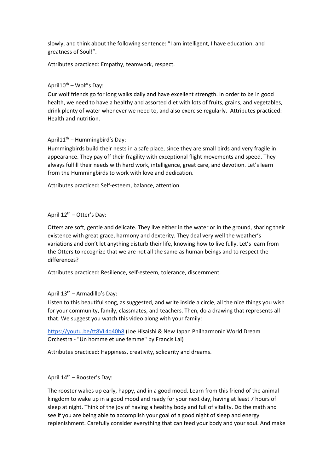slowly, and think about the following sentence: "I am intelligent, I have education, and greatness of Soul!".

Attributes practiced: Empathy, teamwork, respect.

## April $10^{th}$  – Wolf's Day:

Our wolf friends go for long walks daily and have excellent strength. In order to be in good health, we need to have a healthy and assorted diet with lots of fruits, grains, and vegetables, drink plenty of water whenever we need to, and also exercise regularly. Attributes practiced: Health and nutrition.

#### April $11^{th}$  – Hummingbird's Day:

Hummingbirds build their nests in a safe place, since they are small birds and very fragile in appearance. They pay off their fragility with exceptional flight movements and speed. They always fulfill their needs with hard work, intelligence, great care, and devotion. Let's learn from the Hummingbirds to work with love and dedication.

Attributes practiced: Self-esteem, balance, attention.

#### April 12<sup>th</sup> – Otter's Day:

Otters are soft, gentle and delicate. They live either in the water or in the ground, sharing their existence with great grace, harmony and dexterity. They deal very well the weather's variations and don't let anything disturb their life, knowing how to live fully. Let's learn from the Otters to recognize that we are not all the same as human beings and to respect the differences?

Attributes practiced: Resilience, self-esteem, tolerance, discernment.

#### April  $13<sup>th</sup>$  – Armadillo's Day:

Listen to this beautiful song, as suggested, and write inside a circle, all the nice things you wish for your community, family, classmates, and teachers. Then, do a drawing that represents all that. We suggest you watch this video along with your family:

https://youtu.be/tt8VL4q40h8 (Joe Hisaishi & New Japan Philharmonic World Dream Orchestra - "Un homme et une femme" by Francis Lai)

Attributes practiced: Happiness, creativity, solidarity and dreams.

#### April 14th – Rooster's Day:

The rooster wakes up early, happy, and in a good mood. Learn from this friend of the animal kingdom to wake up in a good mood and ready for your next day, having at least 7 hours of sleep at night. Think of the joy of having a healthy body and full of vitality. Do the math and see if you are being able to accomplish your goal of a good night of sleep and energy replenishment. Carefully consider everything that can feed your body and your soul. And make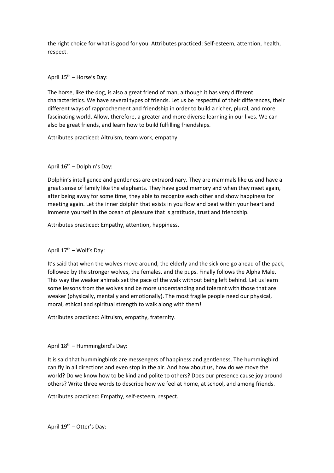the right choice for what is good for you. Attributes practiced: Self-esteem, attention, health, respect.

## April 15<sup>th</sup> – Horse's Dav:

The horse, like the dog, is also a great friend of man, although it has very different characteristics. We have several types of friends. Let us be respectful of their differences, their different ways of rapprochement and friendship in order to build a richer, plural, and more fascinating world. Allow, therefore, a greater and more diverse learning in our lives. We can also be great friends, and learn how to build fulfilling friendships.

Attributes practiced: Altruism, team work, empathy.

## April  $16^{th}$  – Dolphin's Day:

Dolphin's intelligence and gentleness are extraordinary. They are mammals like us and have a great sense of family like the elephants. They have good memory and when they meet again, after being away for some time, they able to recognize each other and show happiness for meeting again. Let the inner dolphin that exists in you flow and beat within your heart and immerse yourself in the ocean of pleasure that is gratitude, trust and friendship.

Attributes practiced: Empathy, attention, happiness.

#### April  $17^{th}$  – Wolf's Dav:

It's said that when the wolves move around, the elderly and the sick one go ahead of the pack, followed by the stronger wolves, the females, and the pups. Finally follows the Alpha Male. This way the weaker animals set the pace of the walk without being left behind. Let us learn some lessons from the wolves and be more understanding and tolerant with those that are weaker (physically, mentally and emotionally). The most fragile people need our physical, moral, ethical and spiritual strength to walk along with them!

Attributes practiced: Altruism, empathy, fraternity.

#### April  $18^{th}$  – Hummingbird's Day:

It is said that hummingbirds are messengers of happiness and gentleness. The hummingbird can fly in all directions and even stop in the air. And how about us, how do we move the world? Do we know how to be kind and polite to others? Does our presence cause joy around others? Write three words to describe how we feel at home, at school, and among friends.

Attributes practiced: Empathy, self-esteem, respect.

April 19<sup>th</sup> – Otter's Day: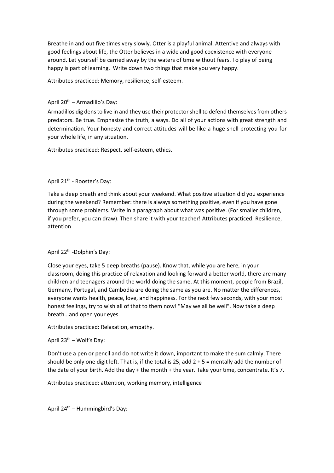Breathe in and out five times very slowly. Otter is a playful animal. Attentive and always with good feelings about life, the Otter believes in a wide and good coexistence with everyone around. Let yourself be carried away by the waters of time without fears. To play of being happy is part of learning. Write down two things that make you very happy.

Attributes practiced: Memory, resilience, self-esteem.

#### April 20th – Armadillo's Day:

Armadillos dig dens to live in and they use their protector shell to defend themselves from others predators. Be true. Emphasize the truth, always. Do all of your actions with great strength and determination. Your honesty and correct attitudes will be like a huge shell protecting you for your whole life, in any situation.

Attributes practiced: Respect, self-esteem, ethics.

#### April 21<sup>th</sup> - Rooster's Day:

Take a deep breath and think about your weekend. What positive situation did you experience during the weekend? Remember: there is always something positive, even if you have gone through some problems. Write in a paragraph about what was positive. (For smaller children, if you prefer, you can draw). Then share it with your teacher! Attributes practiced: Resilience, attention

#### April 22th -Dolphin's Day:

Close your eyes, take 5 deep breaths (pause). Know that, while you are here, in your classroom, doing this practice of relaxation and looking forward a better world, there are many children and teenagers around the world doing the same. At this moment, people from Brazil, Germany, Portugal, and Cambodia are doing the same as you are. No matter the differences, everyone wants health, peace, love, and happiness. For the next few seconds, with your most honest feelings, try to wish all of that to them now! "May we all be well". Now take a deep breath...and open your eyes.

Attributes practiced: Relaxation, empathy.

April  $23^{th}$  – Wolf's Day:

Don't use a pen or pencil and do not write it down, important to make the sum calmly. There should be only one digit left. That is, if the total is 25, add  $2 + 5$  = mentally add the number of the date of your birth. Add the day + the month + the year. Take your time, concentrate. It's 7.

Attributes practiced: attention, working memory, intelligence

April  $24^{th}$  – Hummingbird's Day: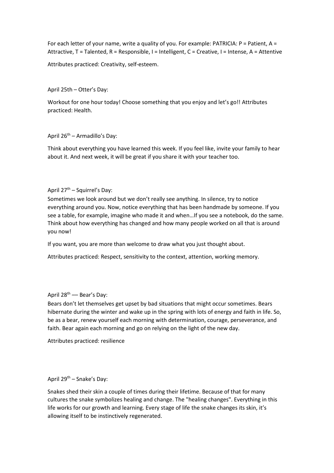For each letter of your name, write a quality of you. For example: PATRICIA: P = Patient, A = Attractive, T = Talented, R = Responsible, I = Intelligent, C = Creative, I = Intense, A = Attentive

Attributes practiced: Creativity, self-esteem.

April 25th – Otter's Day:

Workout for one hour today! Choose something that you enjoy and let's go!! Attributes practiced: Health.

April  $26^{th}$  – Armadillo's Day:

Think about everything you have learned this week. If you feel like, invite your family to hear about it. And next week, it will be great if you share it with your teacher too.

## April 27th – Squirrel's Day:

Sometimes we look around but we don't really see anything. In silence, try to notice everything around you. Now, notice everything that has been handmade by someone. If you see a table, for example, imagine who made it and when…If you see a notebook, do the same. Think about how everything has changed and how many people worked on all that is around you now!

If you want, you are more than welcome to draw what you just thought about.

Attributes practiced: Respect, sensitivity to the context, attention, working memory.

#### April  $28^{th}$  — Bear's Day:

Bears don't let themselves get upset by bad situations that might occur sometimes. Bears hibernate during the winter and wake up in the spring with lots of energy and faith in life. So, be as a bear, renew yourself each morning with determination, courage, perseverance, and faith. Bear again each morning and go on relying on the light of the new day.

Attributes practiced: resilience

April 29th – Snake's Day:

Snakes shed their skin a couple of times during their lifetime. Because of that for many cultures the snake symbolizes healing and change. The "healing changes". Everything in this life works for our growth and learning. Every stage of life the snake changes its skin, it's allowing itself to be instinctively regenerated.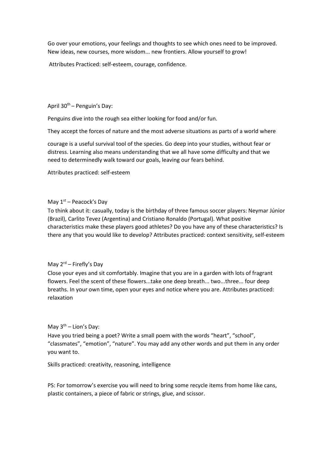Go over your emotions, your feelings and thoughts to see which ones need to be improved. New ideas, new courses, more wisdom... new frontiers. Allow yourself to grow!

Attributes Practiced: self-esteem, courage, confidence.

April  $30<sup>th</sup>$  – Penguin's Day:

Penguins dive into the rough sea either looking for food and/or fun.

They accept the forces of nature and the most adverse situations as parts of a world where

courage is a useful survival tool of the species. Go deep into your studies, without fear or distress. Learning also means understanding that we all have some difficulty and that we need to determinedly walk toward our goals, leaving our fears behind.

Attributes practiced: self-esteem

#### May  $1<sup>st</sup>$  – Peacock's Day

To think about it: casually, today is the birthday of three famous soccer players: Neymar Júnior (Brazil), Carlito Tevez (Argentina) and Cristiano Ronaldo (Portugal). What positive characteristics make these players good athletes? Do you have any of these characteristics? Is there any that you would like to develop? Attributes practiced: context sensitivity, self-esteem

## May  $2^{rd}$  – Firefly's Day

Close your eyes and sit comfortably. Imagine that you are in a garden with lots of fragrant flowers. Feel the scent of these flowers...take one deep breath... two...three... four deep breaths. In your own time, open your eyes and notice where you are. Attributes practiced: relaxation

#### May  $3<sup>th</sup>$  – Lion's Day:

Have you tried being a poet? Write a small poem with the words "heart", "school", "classmates", "emotion", "nature". You may add any other words and put them in any order you want to.

Skills practiced: creativity, reasoning, intelligence

PS: For tomorrow's exercise you will need to bring some recycle items from home like cans, plastic containers, a piece of fabric or strings, glue, and scissor.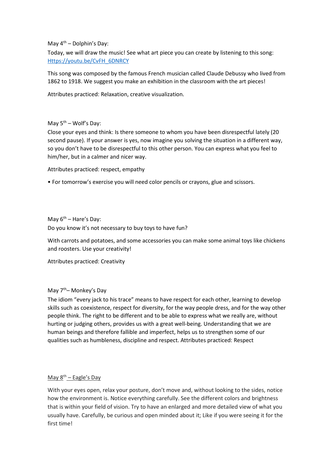## May  $4^{th}$  – Dolphin's Day:

Today, we will draw the music! See what art piece you can create by listening to this song: Https://youtu.be/CvFH\_6DNRCY

This song was composed by the famous French musician called Claude Debussy who lived from 1862 to 1918. We suggest you make an exhibition in the classroom with the art pieces!

Attributes practiced: Relaxation, creative visualization.

#### May  $5<sup>th</sup>$  – Wolf's Day:

Close your eyes and think: Is there someone to whom you have been disrespectful lately (20 second pause). If your answer is yes, now imagine you solving the situation in a different way, so you don't have to be disrespectful to this other person. You can express what you feel to him/her, but in a calmer and nicer way.

Attributes practiced: respect, empathy

• For tomorrow's exercise you will need color pencils or crayons, glue and scissors.

May  $6<sup>th</sup>$  – Hare's Day:

Do you know it's not necessary to buy toys to have fun?

With carrots and potatoes, and some accessories you can make some animal toys like chickens and roosters. Use your creativity!

Attributes practiced: Creativity

#### May 7th– Monkey's Day

The idiom "every jack to his trace" means to have respect for each other, learning to develop skills such as coexistence, respect for diversity, for the way people dress, and for the way other people think. The right to be different and to be able to express what we really are, without hurting or judging others, provides us with a great well-being. Understanding that we are human beings and therefore fallible and imperfect, helps us to strengthen some of our qualities such as humbleness, discipline and respect. Attributes practiced: Respect

#### May 8<sup>th</sup> – Eagle's Day

With your eyes open, relax your posture, don't move and, without looking to the sides, notice how the environment is. Notice everything carefully. See the different colors and brightness that is within your field of vision. Try to have an enlarged and more detailed view of what you usually have. Carefully, be curious and open minded about it; Like if you were seeing it for the first time!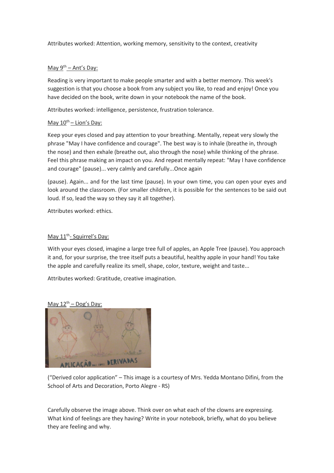Attributes worked: Attention, working memory, sensitivity to the context, creativity

#### May  $9^{th}$  – Ant's Day:

Reading is very important to make people smarter and with a better memory. This week's suggestion is that you choose a book from any subject you like, to read and enjoy! Once you have decided on the book, write down in your notebook the name of the book.

Attributes worked: intelligence, persistence, frustration tolerance.

#### May  $10^{th}$  – Lion's Day:

Keep your eyes closed and pay attention to your breathing. Mentally, repeat very slowly the phrase "May I have confidence and courage". The best way is to inhale (breathe in, through the nose) and then exhale (breathe out, also through the nose) while thinking of the phrase. Feel this phrase making an impact on you. And repeat mentally repeat: "May I have confidence and courage" (pause)... very calmly and carefully...Once again

(pause). Again... and for the last time (pause). In your own time, you can open your eyes and look around the classroom. (For smaller children, it is possible for the sentences to be said out loud. If so, lead the way so they say it all together).

Attributes worked: ethics.

## May 11<sup>th</sup>- Squirrel's Day:

With your eyes closed, imagine a large tree full of apples, an Apple Tree (pause). You approach it and, for your surprise, the tree itself puts a beautiful, healthy apple in your hand! You take the apple and carefully realize its smell, shape, color, texture, weight and taste...

Attributes worked: Gratitude, creative imagination.



May  $12^{th}$  – Dog's Day:

("Derived color application" – This image is a courtesy of Mrs. Yedda Montano Difini, from the School of Arts and Decoration, Porto Alegre - RS)

Carefully observe the image above. Think over on what each of the clowns are expressing. What kind of feelings are they having? Write in your notebook, briefly, what do you believe they are feeling and why.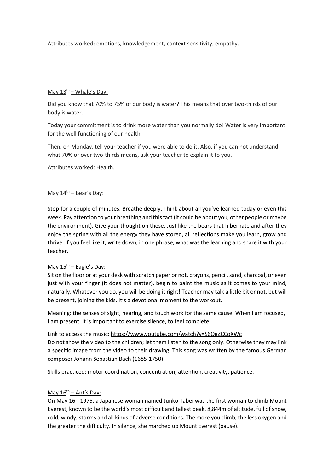Attributes worked: emotions, knowledgement, context sensitivity, empathy.

## May  $13<sup>th</sup>$  – Whale's Day:

Did you know that 70% to 75% of our body is water? This means that over two-thirds of our body is water.

Today your commitment is to drink more water than you normally do! Water is very important for the well functioning of our health.

Then, on Monday, tell your teacher if you were able to do it. Also, if you can not understand what 70% or over two-thirds means, ask your teacher to explain it to you.

Attributes worked: Health.

#### May  $14<sup>th</sup>$  – Bear's Day:

Stop for a couple of minutes. Breathe deeply. Think about all you've learned today or even this week. Pay attention to your breathing and this fact (it could be about you, other people or maybe the environment). Give your thought on these. Just like the bears that hibernate and after they enjoy the spring with all the energy they have stored, all reflections make you learn, grow and thrive. If you feel like it, write down, in one phrase, what was the learning and share it with your teacher.

#### May  $15^{\text{th}}$  – Eagle's Day:

Sit on the floor or at your desk with scratch paper or not, crayons, pencil, sand, charcoal, or even just with your finger (it does not matter), begin to paint the music as it comes to your mind, naturally. Whatever you do, you will be doing it right! Teacher may talk a little bit or not, but will be present, joining the kids. It's a devotional moment to the workout.

Meaning: the senses of sight, hearing, and touch work for the same cause. When I am focused, I am present. It is important to exercise silence, to feel complete.

Link to access the music: https://www.youtube.com/watch?v=S6OgZCCoXWc Do not show the video to the children; let them listen to the song only. Otherwise they may link a specific image from the video to their drawing. This song was written by the famous German composer Johann Sebastian Bach (1685-1750).

Skills practiced: motor coordination, concentration, attention, creativity, patience.

## May  $16^{th}$  – Ant's Day:

On May 16<sup>th</sup> 1975, a Japanese woman named Junko Tabei was the first woman to climb Mount Everest, known to be the world's most difficult and tallest peak. 8,844m of altitude, full of snow, cold, windy, storms and all kinds of adverse conditions. The more you climb, the less oxygen and the greater the difficulty. In silence, she marched up Mount Everest (pause).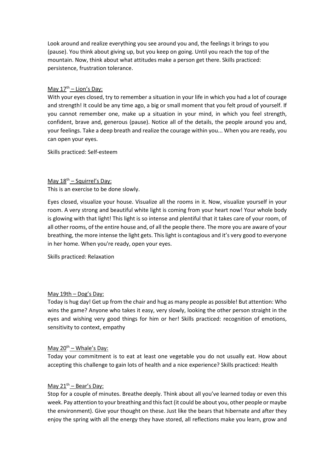Look around and realize everything you see around you and, the feelings it brings to you (pause). You think about giving up, but you keep on going. Until you reach the top of the mountain. Now, think about what attitudes make a person get there. Skills practiced: persistence, frustration tolerance.

## May  $17<sup>th</sup>$  – Lion's Day:

With your eyes closed, try to remember a situation in your life in which you had a lot of courage and strength! It could be any time ago, a big or small moment that you felt proud of yourself. If you cannot remember one, make up a situation in your mind, in which you feel strength, confident, brave and, generous (pause). Notice all of the details, the people around you and, your feelings. Take a deep breath and realize the courage within you... When you are ready, you can open your eyes.

Skills practiced: Self-esteem

#### May  $18<sup>th</sup>$  – Squirrel's Day:

This is an exercise to be done slowly.

Eyes closed, visualize your house. Visualize all the rooms in it. Now, visualize yourself in your room. A very strong and beautiful white light is coming from your heart now! Your whole body is glowing with that light! This light is so intense and plentiful that it takes care of your room, of all other rooms, of the entire house and, of all the people there. The more you are aware of your breathing, the more intense the light gets. This light is contagious and it's very good to everyone in her home. When you're ready, open your eyes.

Skills practiced: Relaxation

#### May 19th – Dog's Day:

Today is hug day! Get up from the chair and hug as many people as possible! But attention: Who wins the game? Anyone who takes it easy, very slowly, looking the other person straight in the eyes and wishing very good things for him or her! Skills practiced: recognition of emotions, sensitivity to context, empathy

#### May  $20^{th}$  – Whale's Day:

Today your commitment is to eat at least one vegetable you do not usually eat. How about accepting this challenge to gain lots of health and a nice experience? Skills practiced: Health

#### May  $21<sup>th</sup>$  – Bear's Day:

Stop for a couple of minutes. Breathe deeply. Think about all you've learned today or even this week. Pay attention to your breathing and this fact (it could be about you, other people or maybe the environment). Give your thought on these. Just like the bears that hibernate and after they enjoy the spring with all the energy they have stored, all reflections make you learn, grow and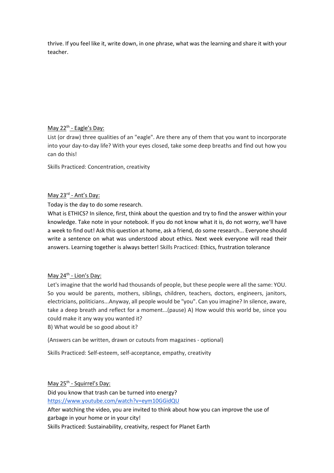thrive. If you feel like it, write down, in one phrase, what was the learning and share it with your teacher.

## May 22<sup>th</sup> - Eagle's Day:

List (or draw) three qualities of an "eagle". Are there any of them that you want to incorporate into your day-to-day life? With your eyes closed, take some deep breaths and find out how you can do this!

Skills Practiced: Concentration, creativity

## May 23<sup>rd</sup> - Ant's Day:

Today is the day to do some research.

What is ETHICS? In silence, first, think about the question and try to find the answer within your knowledge. Take note in your notebook. If you do not know what it is, do not worry, we'll have a week to find out! Ask this question at home, ask a friend, do some research... Everyone should write a sentence on what was understood about ethics. Next week everyone will read their answers. Learning together is always better! Skills Practiced: Ethics, frustration tolerance

## May 24<sup>th</sup> - Lion's Day:

Let's imagine that the world had thousands of people, but these people were all the same: YOU. So you would be parents, mothers, siblings, children, teachers, doctors, engineers, janitors, electricians, politicians...Anyway, all people would be "you". Can you imagine? In silence, aware, take a deep breath and reflect for a moment...(pause) A) How would this world be, since you could make it any way you wanted it?

B) What would be so good about it?

(Answers can be written, drawn or cutouts from magazines - optional)

Skills Practiced: Self-esteem, self-acceptance, empathy, creativity

May 25<sup>th</sup> - Squirrel's Day:

Did you know that trash can be turned into energy? https://www.youtube.com/watch?v=eym10GGidQU

After watching the video, you are invited to think about how you can improve the use of garbage in your home or in your city!

Skills Practiced: Sustainability, creativity, respect for Planet Earth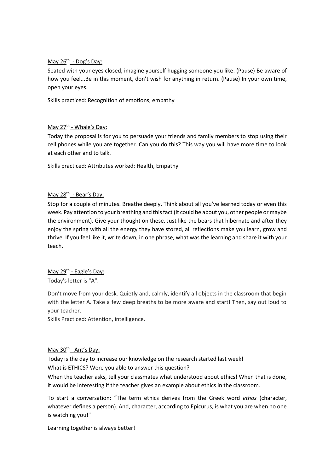#### May  $26<sup>th</sup>$  - Dog's Day:

Seated with your eyes closed, imagine yourself hugging someone you like. (Pause) Be aware of how you feel...Be in this moment, don't wish for anything in return. (Pause) In your own time, open your eyes.

Skills practiced: Recognition of emotions, empathy

## May 27<sup>th</sup> - Whale's Day:

Today the proposal is for you to persuade your friends and family members to stop using their cell phones while you are together. Can you do this? This way you will have more time to look at each other and to talk.

Skills practiced: Attributes worked: Health, Empathy

## May 28<sup>th</sup> - Bear's Day:

Stop for a couple of minutes. Breathe deeply. Think about all you've learned today or even this week. Pay attention to your breathing and this fact (it could be about you, other people or maybe the environment). Give your thought on these. Just like the bears that hibernate and after they enjoy the spring with all the energy they have stored, all reflections make you learn, grow and thrive. If you feel like it, write down, in one phrase, what was the learning and share it with your teach.

May 29<sup>th</sup> - Eagle's Day: Today's letter is "A".

Don't move from your desk. Quietly and, calmly, identify all objects in the classroom that begin with the letter A. Take a few deep breaths to be more aware and start! Then, say out loud to your teacher.

Skills Practiced: Attention, intelligence.

#### May 30<sup>th</sup> - Ant's Day:

Today is the day to increase our knowledge on the research started last week! What is ETHICS? Were you able to answer this question?

When the teacher asks, tell your classmates what understood about ethics! When that is done, it would be interesting if the teacher gives an example about ethics in the classroom.

To start a conversation: "The term ethics derives from the Greek word *ethos* (character, whatever defines a person). And, character, according to Epicurus, is what you are when no one is watching you!"

Learning together is always better!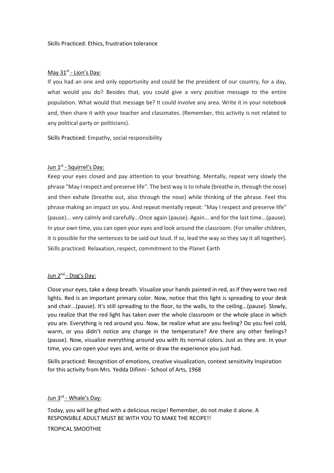#### May 31<sup>st</sup> - Lion's Day:

If you had an one and only opportunity and could be the president of our country, for a day, what would you do? Besides that, you could give a very positive message to the entire population. What would that message be? It could involve any area. Write it in your notebook and, then share it with your teacher and classmates. (Remember, this activity is not related to any political party or politicians).

Skills Practiced: Empathy, social responsibility

#### Jun 1st - Squirrel's Day:

Keep your eyes closed and pay attention to your breathing. Mentally, repeat very slowly the phrase "May I respect and preserve life". The best way is to inhale (breathe in, through the nose) and then exhale (breathe out, also through the nose) while thinking of the phrase. Feel this phrase making an impact on you. And repeat mentally repeat: "May I respect and preserve life" (pause)... very calmly and carefully...Once again (pause). Again... and for the last time...(pause). In your own time, you can open your eyes and look around the classroom. (For smaller children, it is possible for the sentences to be said out loud. If so, lead the way so they say it all together). Skills practiced: Relaxation, respect, commitment to the Planet Earth

## Jun 2nd - Dog's Day:

Close your eyes, take a deep breath. Visualize your hands painted in red, as if they were two red lights. Red is an important primary color. Now, notice that this light is spreading to your desk and chair...(pause). It's still spreading to the floor, to the walls, to the ceiling...(pause). Slowly, you realize that the red light has taken over the whole classroom or the whole place in which you are. Everything is red around you. Now, be realize what are you feeling? Do you feel cold, warm, or you didn't notice any change in the temperature? Are there any other feelings? (pause). Now, visualize everything around you with its normal colors. Just as they are. In your time, you can open your eyes and, write or draw the experience you just had.

Skills practiced: Recognition of emotions, creative visualization, context sensitivity Inspiration for this activity from Mrs. Yedda Difinni - School of Arts, 1968

#### Jun 3rd - Whale's Day:

Today, you will be gifted with a delicious recipe! Remember, do not make it alone. A RESPONSIBLE ADULT MUST BE WITH YOU TO MAKE THE RECIPE!!

TROPICAL SMOOTHIE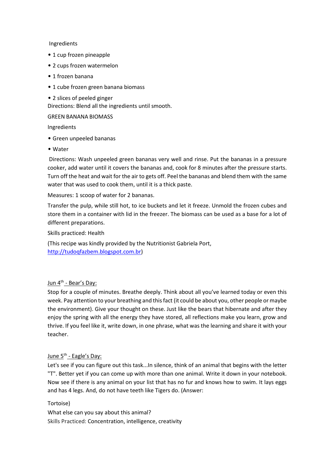#### Ingredients

- 1 cup frozen pineapple
- 2 cups frozen watermelon
- 1 frozen banana
- 1 cube frozen green banana biomass
- 2 slices of peeled ginger

Directions: Blend all the ingredients until smooth.

GREEN BANANA BIOMASS

Ingredients

- Green unpeeled bananas
- Water

 Directions: Wash unpeeled green bananas very well and rinse. Put the bananas in a pressure cooker, add water until it covers the bananas and, cook for 8 minutes after the pressure starts. Turn off the heat and wait for the air to gets off. Peel the bananas and blend them with the same water that was used to cook them, until it is a thick paste.

Measures: 1 scoop of water for 2 bananas.

Transfer the pulp, while still hot, to ice buckets and let it freeze. Unmold the frozen cubes and store them in a container with lid in the freezer. The biomass can be used as a base for a lot of different preparations.

Skills practiced: Health

(This recipe was kindly provided by the Nutritionist Gabriela Port, http://tudoqfazbem.blogspot.com.br)

## Jun 4<sup>th</sup> - Bear's Day:

Stop for a couple of minutes. Breathe deeply. Think about all you've learned today or even this week. Pay attention to your breathing and this fact (it could be about you, other people or maybe the environment). Give your thought on these. Just like the bears that hibernate and after they enjoy the spring with all the energy they have stored, all reflections make you learn, grow and thrive. If you feel like it, write down, in one phrase, what was the learning and share it with your teacher.

## June 5<sup>th</sup> - Eagle's Day:

Let's see if you can figure out this task...In silence, think of an animal that begins with the letter "T". Better yet if you can come up with more than one animal. Write it down in your notebook. Now see if there is any animal on your list that has no fur and knows how to swim. It lays eggs and has 4 legs. And, do not have teeth like Tigers do. (Answer:

## Tortoise)

What else can you say about this animal? Skills Practiced: Concentration, intelligence, creativity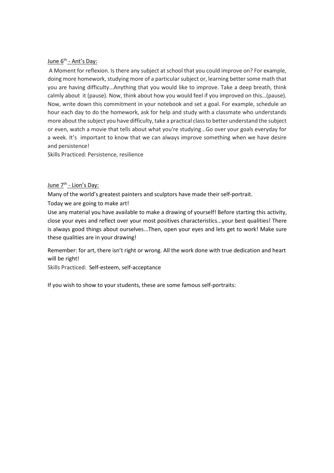### June 6<sup>th</sup> - Ant's Day:

 A Moment for reflexion. Is there any subject at school that you could improve on? For example, doing more homework, studying more of a particular subject or, learning better some math that you are having difficulty...Anything that you would like to improve. Take a deep breath, think calmly about it (pause). Now, think about how you would feel if you improved on this…(pause). Now, write down this commitment in your notebook and set a goal. For example, schedule an hour each day to do the homework, ask for help and study with a classmate who understands more about the subject you have difficulty, take a practical class to better understand the subject or even, watch a movie that tells about what you're studying...Go over your goals everyday for a week. It's important to know that we can always improve something when we have desire and persistence!

Skills Practiced: Persistence, resilience

### June 7<sup>th</sup> - Lion's Day:

Many of the world's greatest painters and sculptors have made their self-portrait.

Today we are going to make art!

Use any material you have available to make a drawing of yourself! Before starting this activity, close your eyes and reflect over your most positives characteristics...your best qualities! There is always good things about ourselves...Then, open your eyes and lets get to work! Make sure these qualities are in your drawing!

Remember: for art, there isn't right or wrong. All the work done with true dedication and heart will be right!

Skills Practiced: Self-esteem, self-acceptance

If you wish to show to your students, these are some famous self-portraits: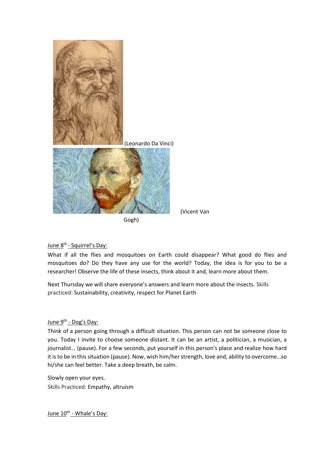

Gogh)

# June 8<sup>th</sup> - Squirrel's Day:

What if all the flies and mosquitoes on Earth could disappear? What good do flies and mosquitoes do? Do they have any use for the world? Today, the idea is for you to be a researcher! Observe the life of these insects, think about it and, learn more about them.

(Vicent Van

Next Thursday we will share everyone's answers and learn more about the insects. Skills practiced: Sustainability, creativity, respect for Planet Earth

### June 9<sup>th</sup> - Dog's Day:

Think of a person going through a difficult situation. This person can not be someone close to you. Today I invite to choose someone distant. It can be an artist, a politician, a musician, a journalist… (pause). For a few seconds, put yourself in this person's place and realize how hard it is to be in this situation (pause). Now, wish him/her strength, love and, ability to overcome…so hi/she can feel better. Take a deep breath, be calm.

Slowly open your eyes. Skills Practiced: Empathy, altruism

June 10<sup>th</sup> - Whale's Day: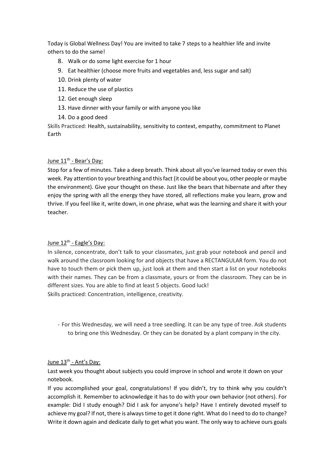Today is Global Wellness Day! You are invited to take 7 steps to a healthier life and invite others to do the same!

- 8. Walk or do some light exercise for 1 hour
- 9. Eat healthier (choose more fruits and vegetables and, less sugar and salt)
- 10. Drink plenty of water
- 11. Reduce the use of plastics
- 12. Get enough sleep
- 13. Have dinner with your family or with anyone you like
- 14. Do a good deed

Skills Practiced: Health, sustainability, sensitivity to context, empathy, commitment to Planet Earth

### June 11<sup>th</sup> - Bear's Day:

Stop for a few of minutes. Take a deep breath. Think about all you've learned today or even this week. Pay attention to your breathing and this fact (it could be about you, other people or maybe the environment). Give your thought on these. Just like the bears that hibernate and after they enjoy the spring with all the energy they have stored, all reflections make you learn, grow and thrive. If you feel like it, write down, in one phrase, what was the learning and share it with your teacher.

### June 12<sup>th</sup> - Eagle's Day:

In silence, concentrate, don't talk to your classmates, just grab your notebook and pencil and walk around the classroom looking for and objects that have a RECTANGULAR form. You do not have to touch them or pick them up, just look at them and then start a list on your notebooks with their names. They can be from a classmate, yours or from the classroom. They can be in different sizes. You are able to find at least 5 objects. Good luck! Skills practiced: Concentration, intelligence, creativity.

- For this Wednesday, we will need a tree seedling. It can be any type of tree. Ask students to bring one this Wednesday. Or they can be donated by a plant company in the city.

#### June 13<sup>th</sup> - Ant's Day:

Last week you thought about subjects you could improve in school and wrote it down on your notebook.

If you accomplished your goal, congratulations! If you didn't, try to think why you couldn't accomplish it. Remember to acknowledge it has to do with your own behavior (not others). For example: Did I study enough? Did I ask for anyone's help? Have I entirely devoted myself to achieve my goal? If not, there is always time to get it done right. What do I need to do to change? Write it down again and dedicate daily to get what you want. The only way to achieve ours goals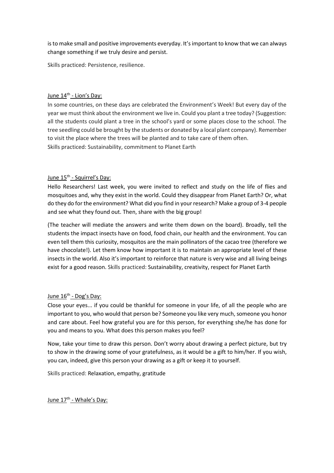is to make small and positive improvements everyday. It's important to know that we can always change something if we truly desire and persist.

Skills practiced: Persistence, resilience.

# June 14<sup>th</sup> - Lion's Day:

In some countries, on these days are celebrated the Environment's Week! But every day of the year we must think about the environment we live in. Could you plant a tree today? (Suggestion: all the students could plant a tree in the school's yard or some places close to the school. The tree seedling could be brought by the students or donated by a local plant company). Remember to visit the place where the trees will be planted and to take care of them often. Skills practiced: Sustainability, commitment to Planet Earth

### June 15<sup>th</sup> - Squirrel's Day:

Hello Researchers! Last week, you were invited to reflect and study on the life of flies and mosquitoes and, why they exist in the world. Could they disappear from Planet Earth? Or, what do they do for the environment? What did you find in your research? Make a group of 3-4 people and see what they found out. Then, share with the big group!

(The teacher will mediate the answers and write them down on the board). Broadly, tell the students the impact insects have on food, food chain, our health and the environment. You can even tell them this curiosity, mosquitos are the main pollinators of the cacao tree (therefore we have chocolate!). Let them know how important it is to maintain an appropriate level of these insects in the world. Also it's important to reinforce that nature is very wise and all living beings exist for a good reason. Skills practiced: Sustainability, creativity, respect for Planet Earth

### June 16<sup>th</sup> - Dog's Day:

Close your eyes... if you could be thankful for someone in your life, of all the people who are important to you, who would that person be? Someone you like very much, someone you honor and care about. Feel how grateful you are for this person, for everything she/he has done for you and means to you. What does this person makes you feel?

Now, take your time to draw this person. Don't worry about drawing a perfect picture, but try to show in the drawing some of your gratefulness, as it would be a gift to him/her. If you wish, you can, indeed, give this person your drawing as a gift or keep it to yourself.

Skills practiced: Relaxation, empathy, gratitude

June 17<sup>th</sup> - Whale's Day: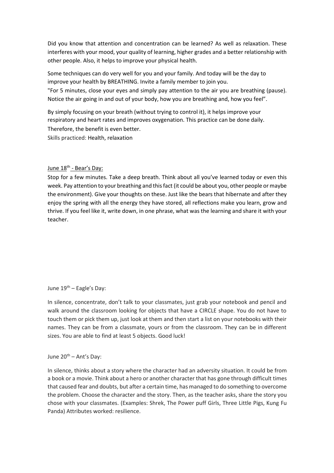Did you know that attention and concentration can be learned? As well as relaxation. These interferes with your mood, your quality of learning, higher grades and a better relationship with other people. Also, it helps to improve your physical health.

Some techniques can do very well for you and your family. And today will be the day to improve your health by BREATHING. Invite a family member to join you.

"For 5 minutes, close your eyes and simply pay attention to the air you are breathing (pause). Notice the air going in and out of your body, how you are breathing and, how you feel".

By simply focusing on your breath (without trying to control it), it helps improve your respiratory and heart rates and improves oxygenation. This practice can be done daily. Therefore, the benefit is even better. Skills practiced: Health, relaxation

### June 18<sup>th</sup> - Bear's Day:

Stop for a few minutes. Take a deep breath. Think about all you've learned today or even this week. Pay attention to your breathing and this fact (it could be about you, other people or maybe the environment). Give your thoughts on these. Just like the bears that hibernate and after they enjoy the spring with all the energy they have stored, all reflections make you learn, grow and thrive. If you feel like it, write down, in one phrase, what was the learning and share it with your teacher.

June  $19^{th}$  – Eagle's Day:

In silence, concentrate, don't talk to your classmates, just grab your notebook and pencil and walk around the classroom looking for objects that have a CIRCLE shape. You do not have to touch them or pick them up, just look at them and then start a list on your notebooks with their names. They can be from a classmate, yours or from the classroom. They can be in different sizes. You are able to find at least 5 objects. Good luck!

June  $20^{th}$  – Ant's Day:

In silence, thinks about a story where the character had an adversity situation. It could be from a book or a movie. Think about a hero or another character that has gone through difficult times that caused fear and doubts, but after a certain time, has managed to do something to overcome the problem. Choose the character and the story. Then, as the teacher asks, share the story you chose with your classmates. (Examples: Shrek, The Power puff Girls, Three Little Pigs, Kung Fu Panda) Attributes worked: resilience.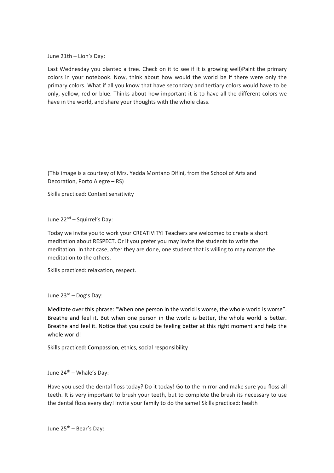June 21th – Lion's Day:

Last Wednesday you planted a tree. Check on it to see if it is growing well)Paint the primary colors in your notebook. Now, think about how would the world be if there were only the primary colors. What if all you know that have secondary and tertiary colors would have to be only, yellow, red or blue. Thinks about how important it is to have all the different colors we have in the world, and share your thoughts with the whole class.

(This image is a courtesy of Mrs. Yedda Montano Difini, from the School of Arts and Decoration, Porto Alegre – RS)

Skills practiced: Context sensitivity

June 22<sup>nd</sup> – Squirrel's Day:

Today we invite you to work your CREATIVITY! Teachers are welcomed to create a short meditation about RESPECT. Or if you prefer you may invite the students to write the meditation. In that case, after they are done, one student that is willing to may narrate the meditation to the others.

Skills practiced: relaxation, respect.

June 23rd – Dog's Day:

Meditate over this phrase: "When one person in the world is worse, the whole world is worse". Breathe and feel it. But when one person in the world is better, the whole world is better. Breathe and feel it. Notice that you could be feeling better at this right moment and help the whole world!

Skills practiced: Compassion, ethics, social responsibility

June  $24^{th}$  – Whale's Day:

Have you used the dental floss today? Do it today! Go to the mirror and make sure you floss all teeth. It is very important to brush your teeth, but to complete the brush its necessary to use the dental floss every day! Invite your family to do the same! Skills practiced: health

June  $25<sup>th</sup>$  – Bear's Day: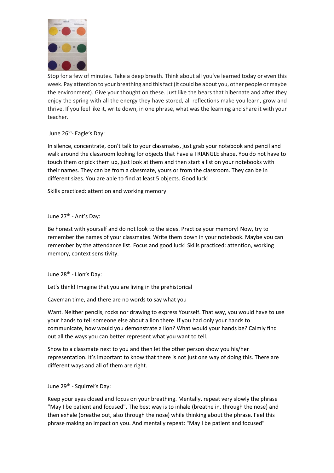

Stop for a few of minutes. Take a deep breath. Think about all you've learned today or even this week. Pay attention to your breathing and this fact (it could be about you, other people or maybe the environment). Give your thought on these. Just like the bears that hibernate and after they enjoy the spring with all the energy they have stored, all reflections make you learn, grow and thrive. If you feel like it, write down, in one phrase, what was the learning and share it with your teacher.

June 26th- Eagle's Day:

In silence, concentrate, don't talk to your classmates, just grab your notebook and pencil and walk around the classroom looking for objects that have a TRIANGLE shape. You do not have to touch them or pick them up, just look at them and then start a list on your notebooks with their names. They can be from a classmate, yours or from the classroom. They can be in different sizes. You are able to find at least 5 objects. Good luck!

Skills practiced: attention and working memory

### June 27<sup>th</sup> - Ant's Day:

Be honest with yourself and do not look to the sides. Practice your memory! Now, try to remember the names of your classmates. Write them down in your notebook. Maybe you can remember by the attendance list. Focus and good luck! Skills practiced: attention, working memory, context sensitivity.

#### June 28<sup>th</sup> - Lion's Day:

Let's think! Imagine that you are living in the prehistorical

Caveman time, and there are no words to say what you

Want. Neither pencils, rocks nor drawing to express Yourself. That way, you would have to use your hands to tell someone else about a lion there. If you had only your hands to communicate, how would you demonstrate a lion? What would your hands be? Calmly find out all the ways you can better represent what you want to tell.

Show to a classmate next to you and then let the other person show you his/her representation. It's important to know that there is not just one way of doing this. There are different ways and all of them are right.

### June 29th - Squirrel's Day:

Keep your eyes closed and focus on your breathing. Mentally, repeat very slowly the phrase "May I be patient and focused". The best way is to inhale (breathe in, through the nose) and then exhale (breathe out, also through the nose) while thinking about the phrase. Feel this phrase making an impact on you. And mentally repeat: "May I be patient and focused"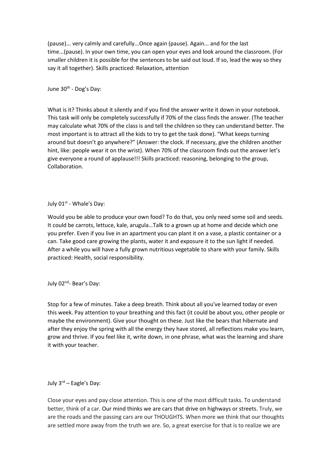(pause)... very calmly and carefully...Once again (pause). Again... and for the last time...(pause). In your own time, you can open your eyes and look around the classroom. (For smaller children it is possible for the sentences to be said out loud. If so, lead the way so they say it all together). Skills practiced: Relaxation, attention

June 30<sup>th</sup> - Dog's Day:

What is it? Thinks about it silently and if you find the answer write it down in your notebook. This task will only be completely successfully if 70% of the class finds the answer. (The teacher may calculate what 70% of the class is and tell the children so they can understand better. The most important is to attract all the kids to try to get the task done). "What keeps turning around but doesn't go anywhere?" (Answer: the clock. If necessary, give the children another hint, like: people wear it on the wrist). When 70% of the classroom finds out the answer let's give everyone a round of applause!!! Skills practiced: reasoning, belonging to the group, Collaboration.

July 01<sup>st</sup> - Whale's Day:

Would you be able to produce your own food? To do that, you only need some soil and seeds. It could be carrots, lettuce, kale, arugula…Talk to a grown up at home and decide which one you prefer. Even if you live in an apartment you can plant it on a vase, a plastic container or a can. Take good care growing the plants, water it and exposure it to the sun light if needed. After a while you will have a fully grown nutritious vegetable to share with your family. Skills practiced: Health, social responsibility.

July 02nd- Bear's Day:

Stop for a few of minutes. Take a deep breath. Think about all you've learned today or even this week. Pay attention to your breathing and this fact (it could be about you, other people or maybe the environment). Give your thought on these. Just like the bears that hibernate and after they enjoy the spring with all the energy they have stored, all reflections make you learn, grow and thrive. If you feel like it, write down, in one phrase, what was the learning and share it with your teacher.

July 3rd – Eagle's Day:

Close your eyes and pay close attention. This is one of the most difficult tasks. To understand better, think of a car. Our mind thinks we are cars that drive on highways or streets. Truly, we are the roads and the passing cars are our THOUGHTS. When more we think that our thoughts are settled more away from the truth we are. So, a great exercise for that is to realize we are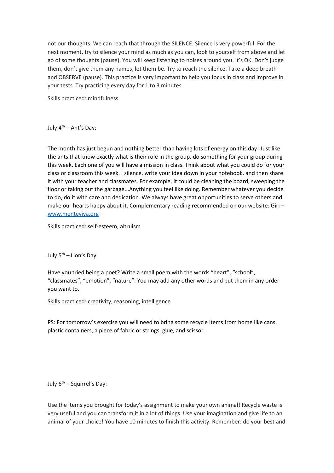not our thoughts. We can reach that through the SILENCE. Silence is very powerful. For the next moment, try to silence your mind as much as you can, look to yourself from above and let go of some thoughts (pause). You will keep listening to noises around you. It's OK. Don't judge them, don't give them any names, let them be. Try to reach the silence. Take a deep breath and OBSERVE (pause). This practice is very important to help you focus in class and improve in your tests. Try practicing every day for 1 to 3 minutes.

Skills practiced: mindfulness

July  $4<sup>th</sup>$  – Ant's Day:

The month has just begun and nothing better than having lots of energy on this day! Just like the ants that know exactly what is their role in the group, do something for your group during this week. Each one of you will have a mission in class. Think about what you could do for your class or classroom this week. I silence, write your idea down in your notebook, and then share it with your teacher and classmates. For example, it could be cleaning the board, sweeping the floor or taking out the garbage...Anything you feel like doing. Remember whatever you decide to do, do it with care and dedication. We always have great opportunities to serve others and make our hearts happy about it. Complementary reading recommended on our website: Giri – www.menteviva.org

Skills practiced: self-esteem, altruism

July  $5<sup>th</sup>$  – Lion's Day:

Have you tried being a poet? Write a small poem with the words "heart", "school", "classmates", "emotion", "nature". You may add any other words and put them in any order you want to.

Skills practiced: creativity, reasoning, intelligence

PS: For tomorrow's exercise you will need to bring some recycle items from home like cans, plastic containers, a piece of fabric or strings, glue, and scissor.

July  $6<sup>th</sup>$  – Squirrel's Day:

Use the items you brought for today's assignment to make your own animal! Recycle waste is very useful and you can transform it in a lot of things. Use your imagination and give life to an animal of your choice! You have 10 minutes to finish this activity. Remember: do your best and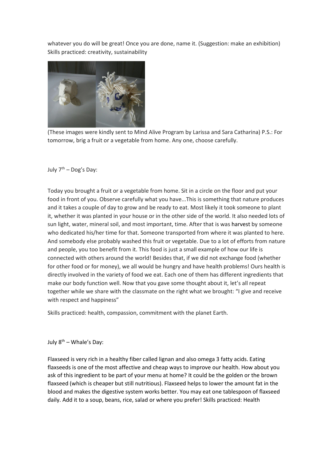whatever you do will be great! Once you are done, name it. (Suggestion: make an exhibition) Skills practiced: creativity, sustainability



(These images were kindly sent to Mind Alive Program by Larissa and Sara Catharina) P.S.: For tomorrow, brig a fruit or a vegetable from home. Any one, choose carefully.

July  $7<sup>th</sup>$  – Dog's Day:

Today you brought a fruit or a vegetable from home. Sit in a circle on the floor and put your food in front of you. Observe carefully what you have...This is something that nature produces and it takes a couple of day to grow and be ready to eat. Most likely it took someone to plant it, whether it was planted in your house or in the other side of the world. It also needed lots of sun light, water, mineral soil, and most important, time. After that is was harvest by someone who dedicated his/her time for that. Someone transported from where it was planted to here. And somebody else probably washed this fruit or vegetable. Due to a lot of efforts from nature and people, you too benefit from it. This food is just a small example of how our life is connected with others around the world! Besides that, if we did not exchange food (whether for other food or for money), we all would be hungry and have health problems! Ours health is directly involved in the variety of food we eat. Each one of them has different ingredients that make our body function well. Now that you gave some thought about it, let's all repeat together while we share with the classmate on the right what we brought: "I give and receive with respect and happiness"

Skills practiced: health, compassion, commitment with the planet Earth.

July  $8^{th}$  – Whale's Day:

Flaxseed is very rich in a healthy fiber called lignan and also omega 3 fatty acids. Eating flaxseeds is one of the most affective and cheap ways to improve our health. How about you ask of this ingredient to be part of your menu at home? It could be the golden or the brown flaxseed (which is cheaper but still nutritious). Flaxseed helps to lower the amount fat in the blood and makes the digestive system works better. You may eat one tablespoon of flaxseed daily. Add it to a soup, beans, rice, salad or where you prefer! Skills practiced: Health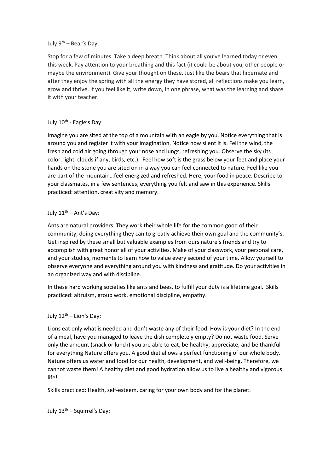#### July 9<sup>th</sup> – Bear's Day:

Stop for a few of minutes. Take a deep breath. Think about all you've learned today or even this week. Pay attention to your breathing and this fact (it could be about you, other people or maybe the environment). Give your thought on these. Just like the bears that hibernate and after they enjoy the spring with all the energy they have stored, all reflections make you learn, grow and thrive. If you feel like it, write down, in one phrase, what was the learning and share it with your teacher.

### July 10<sup>th</sup> - Eagle's Day

Imagine you are sited at the top of a mountain with an eagle by you. Notice everything that is around you and register it with your imagination. Notice how silent it is. Fell the wind, the fresh and cold air going through your nose and lungs, refreshing you. Observe the sky (its color, light, clouds if any, birds, etc.). Feel how soft is the grass below your feet and place your hands on the stone you are sited on in a way you can feel connected to nature. Feel like you are part of the mountain…feel energized and refreshed. Here, your food in peace. Describe to your classmates, in a few sentences, everything you felt and saw in this experience. Skills practiced: attention, creativity and memory.

### July  $11<sup>th</sup>$  – Ant's Day:

Ants are natural providers. They work their whole life for the common good of their community; doing everything they can to greatly achieve their own goal and the community's. Get inspired by these small but valuable examples from ours nature's friends and try to accomplish with great honor all of your activities. Make of your classwork, your personal care, and your studies, moments to learn how to value every second of your time. Allow yourself to observe everyone and everything around you with kindness and gratitude. Do your activities in an organized way and with discipline.

In these hard working societies like ants and bees, to fulfill your duty is a lifetime goal. Skills practiced: altruism, group work, emotional discipline, empathy.

### July 12<sup>th</sup> – Lion's Day:

Lions eat only what is needed and don't waste any of their food. How is your diet? In the end of a meal, have you managed to leave the dish completely empty? Do not waste food. Serve only the amount (snack or lunch) you are able to eat, be healthy, appreciate, and be thankful for everything Nature offers you. A good diet allows a perfect functioning of our whole body. Nature offers us water and food for our health, development, and well-being. Therefore, we cannot waste them! A healthy diet and good hydration allow us to live a healthy and vigorous life!

Skills practiced: Health, self-esteem, caring for your own body and for the planet.

July 13th – Squirrel's Day: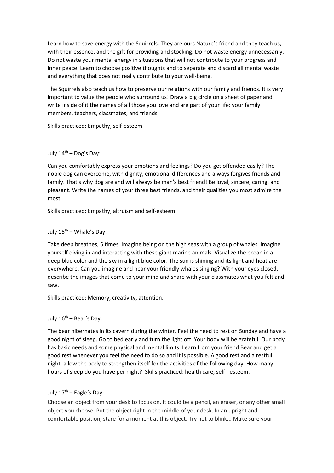Learn how to save energy with the Squirrels. They are ours Nature's friend and they teach us, with their essence, and the gift for providing and stocking. Do not waste energy unnecessarily. Do not waste your mental energy in situations that will not contribute to your progress and inner peace. Learn to choose positive thoughts and to separate and discard all mental waste and everything that does not really contribute to your well-being.

The Squirrels also teach us how to preserve our relations with our family and friends. It is very important to value the people who surround us! Draw a big circle on a sheet of paper and write inside of it the names of all those you love and are part of your life: your family members, teachers, classmates, and friends.

Skills practiced: Empathy, self-esteem.

### July  $14<sup>th</sup> - Dog's Day$ :

Can you comfortably express your emotions and feelings? Do you get offended easily? The noble dog can overcome, with dignity, emotional differences and always forgives friends and family. That's why dog are and will always be man's best friend! Be loyal, sincere, caring, and pleasant. Write the names of your three best friends, and their qualities you most admire the most.

Skills practiced: Empathy, altruism and self-esteem.

### July 15<sup>th</sup> – Whale's Day:

Take deep breathes, 5 times. Imagine being on the high seas with a group of whales. Imagine yourself diving in and interacting with these giant marine animals. Visualize the ocean in a deep blue color and the sky in a light blue color. The sun is shining and its light and heat are everywhere. Can you imagine and hear your friendly whales singing? With your eyes closed, describe the images that come to your mind and share with your classmates what you felt and saw.

Skills practiced: Memory, creativity, attention.

July  $16<sup>th</sup>$  – Bear's Day:

The bear hibernates in its cavern during the winter. Feel the need to rest on Sunday and have a good night of sleep. Go to bed early and turn the light off. Your body will be grateful. Our body has basic needs and some physical and mental limits. Learn from your friend Bear and get a good rest whenever you feel the need to do so and it is possible. A good rest and a restful night, allow the body to strengthen itself for the activities of the following day. How many hours of sleep do you have per night? Skills practiced: health care, self - esteem.

### July  $17<sup>th</sup>$  – Eagle's Day:

Choose an object from your desk to focus on. It could be a pencil, an eraser, or any other small object you choose. Put the object right in the middle of your desk. In an upright and comfortable position, stare for a moment at this object. Try not to blink... Make sure your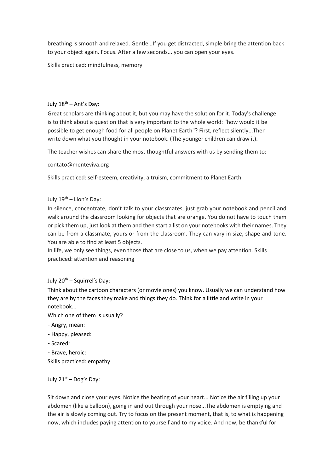breathing is smooth and relaxed. Gentle…If you get distracted, simple bring the attention back to your object again. Focus. After a few seconds... you can open your eyes.

Skills practiced: mindfulness, memory

### July  $18^{th}$  – Ant's Day:

Great scholars are thinking about it, but you may have the solution for it. Today's challenge is to think about a question that is very important to the whole world: "how would it be possible to get enough food for all people on Planet Earth"? First, reflect silently...Then write down what you thought in your notebook. (The younger children can draw it).

The teacher wishes can share the most thoughtful answers with us by sending them to:

#### contato@menteviva.org

Skills practiced: self-esteem, creativity, altruism, commitment to Planet Earth

### July  $19^{th}$  – Lion's Day:

In silence, concentrate, don't talk to your classmates, just grab your notebook and pencil and walk around the classroom looking for objects that are orange. You do not have to touch them or pick them up, just look at them and then start a list on your notebooks with their names. They can be from a classmate, yours or from the classroom. They can vary in size, shape and tone. You are able to find at least 5 objects.

In life, we only see things, even those that are close to us, when we pay attention. Skills practiced: attention and reasoning

### July 20th – Squirrel's Day:

Think about the cartoon characters (or movie ones) you know. Usually we can understand how they are by the faces they make and things they do. Think for a little and write in your notebook...

Which one of them is usually?

- Angry, mean:
- Happy, pleased:
- Scared:
- Brave, heroic:

Skills practiced: empathy

#### July  $21^{st}$  – Dog's Day:

Sit down and close your eyes. Notice the beating of your heart... Notice the air filling up your abdomen (like a balloon), going in and out through your nose...The abdomen is emptying and the air is slowly coming out. Try to focus on the present moment, that is, to what is happening now, which includes paying attention to yourself and to my voice. And now, be thankful for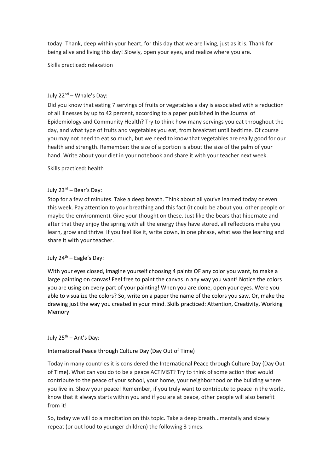today! Thank, deep within your heart, for this day that we are living, just as it is. Thank for being alive and living this day! Slowly, open your eyes, and realize where you are.

Skills practiced: relaxation

### July 22nd – Whale's Day:

Did you know that eating 7 servings of fruits or vegetables a day is associated with a reduction of all illnesses by up to 42 percent, according to a paper published in the Journal of Epidemiology and Community Health? Try to think how many servings you eat throughout the day, and what type of fruits and vegetables you eat, from breakfast until bedtime. Of course you may not need to eat so much, but we need to know that vegetables are really good for our health and strength. Remember: the size of a portion is about the size of the palm of your hand. Write about your diet in your notebook and share it with your teacher next week.

Skills practiced: health

### July 23rd – Bear's Day:

Stop for a few of minutes. Take a deep breath. Think about all you've learned today or even this week. Pay attention to your breathing and this fact (it could be about you, other people or maybe the environment). Give your thought on these. Just like the bears that hibernate and after that they enjoy the spring with all the energy they have stored, all reflections make you learn, grow and thrive. If you feel like it, write down, in one phrase, what was the learning and share it with your teacher.

### July 24<sup>th</sup> – Eagle's Day:

With your eyes closed, imagine yourself choosing 4 paints OF any color you want, to make a large painting on canvas! Feel free to paint the canvas in any way you want! Notice the colors you are using on every part of your painting! When you are done, open your eyes. Were you able to visualize the colors? So, write on a paper the name of the colors you saw. Or, make the drawing just the way you created in your mind. Skills practiced: Attention, Creativity, Working Memory

#### July  $25^{th}$  – Ant's Day:

### International Peace through Culture Day (Day Out of Time)

Today in many countries it is considered the International Peace through Culture Day (Day Out of Time). What can you do to be a peace ACTIVIST? Try to think of some action that would contribute to the peace of your school, your home, your neighborhood or the building where you live in. Show your peace! Remember, if you truly want to contribute to peace in the world, know that it always starts within you and if you are at peace, other people will also benefit from it!

So, today we will do a meditation on this topic. Take a deep breath...mentally and slowly repeat (or out loud to younger children) the following 3 times: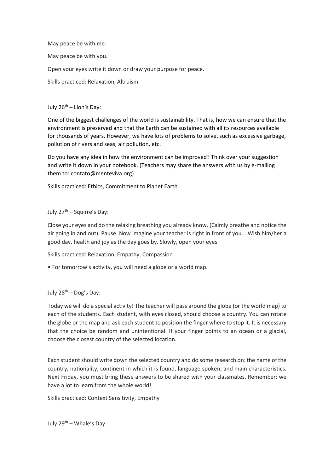May peace be with me.

May peace be with you.

Open your eyes write it down or draw your purpose for peace.

Skills practiced: Relaxation, Altruism

July 26<sup>th</sup> – Lion's Day:

One of the biggest challenges of the world is sustainability. That is, how we can ensure that the environment is preserved and that the Earth can be sustained with all its resources available for thousands of years. However, we have lots of problems to solve, such as excessive garbage, pollution of rivers and seas, air pollution, etc.

Do you have any idea in how the environment can be improved? Think over your suggestion and write it down in your notebook. (Teachers may share the answers with us by e-mailing them to: contato@menteviva.org)

Skills practiced: Ethics, Commitment to Planet Earth

July 27th – Squirre's Day:

Close your eyes and do the relaxing breathing you already know. (Calmly breathe and notice the air going in and out). Pause. Now imagine your teacher is right in front of you... Wish him/her a good day, health and joy as the day goes by. Slowly, open your eyes.

Skills practiced: Relaxation, Empathy, Compassion

• For tomorrow's activity, you will need a globe or a world map.

July 28th – Dog's Day:

Today we will do a special activity! The teacher will pass around the globe (or the world map) to each of the students. Each student, with eyes closed, should choose a country. You can rotate the globe or the map and ask each student to position the finger where to stop it. It is necessary that the choice be random and unintentional. If your finger points to an ocean or a glacial, choose the closest country of the selected location.

Each student should write down the selected country and do some research on: the name of the country, nationality, continent in which it is found, language spoken, and main characteristics. Next Friday, you must bring these answers to be shared with your classmates. Remember: we have a lot to learn from the whole world!

Skills practiced: Context Sensitivity, Empathy

July 29<sup>th</sup> – Whale's Day: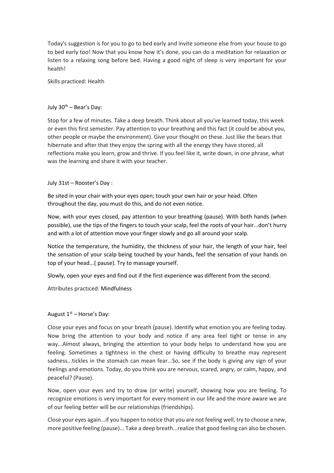Today's suggestion is for you to go to bed early and invite someone else from your house to go to bed early too! Now that you know how it's done, you can do a meditation for relaxation or listen to a relaxing song before bed. Having a good night of sleep is very important for your health!

Skills practiced: Health

### July 30<sup>th</sup> – Bear's Day:

Stop for a few of minutes. Take a deep breath. Think about all you've learned today, this week or even this first semester. Pay attention to your breathing and this fact (it could be about you, other people or maybe the environment). Give your thought on these. Just like the bears that hibernate and after that they enjoy the spring with all the energy they have stored, all reflections make you learn, grow and thrive. If you feel like it, write down, in one phrase, what was the learning and share it with your teacher.

### July 31st – Rooster's Day :

Be sited in your chair with your eyes open; touch your own hair or your head. Often throughout the day, you must do this, and do not even notice.

Now, with your eyes closed, pay attention to your breathing (pause). With both hands (when possible), use the tips of the fingers to touch your scalp, feel the roots of your hair...don't hurry and with a lot of attention move your finger slowly and go all around your scalp.

Notice the temperature, the humidity, the thickness of your hair, the length of your hair, feel the sensation of your scalp being touched by your hands, feel the sensation of your hands on top of your head...( pause). Try to massage yourself.

Slowly, open your eyes and find out if the first experience was different from the second.

Attributes practiced: Mindfulness

#### August  $1<sup>st</sup>$  – Horse's Day:

Close your eyes and focus on your breath (pause). Identify what emotion you are feeling today. Now bring the attention to your body and notice if any area feel tight or tense in any way...Almost always, bringing the attention to your body helps to understand how you are feeling. Sometimes a tightness in the chest or having difficulty to breathe may represent sadness...tickles in the stomach can mean fear...So, see if the body is giving any sign of your feelings and emotions. Today, do you think you are nervous, scared, angry, or calm, happy, and peaceful? (Pause).

Now, open your eyes and try to draw (or write) yourself, showing how you are feeling. To recognize emotions is very important for every moment in our life and the more aware we are of our feeling better will be our relationships (friendships).

Close your eyes again...if you happen to notice that you are not feeling well, try to choose a new, more positive feeling (pause)... Take a deep breath...realize that good feeling can also be chosen.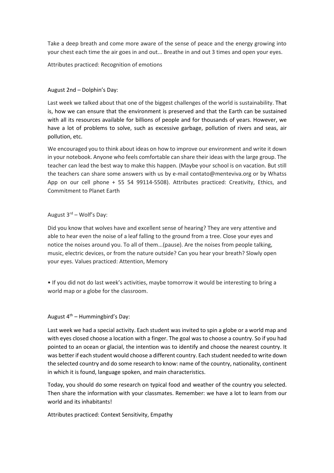Take a deep breath and come more aware of the sense of peace and the energy growing into your chest each time the air goes in and out... Breathe in and out 3 times and open your eyes.

Attributes practiced: Recognition of emotions

### August 2nd – Dolphin's Day:

Last week we talked about that one of the biggest challenges of the world is sustainability. That is, how we can ensure that the environment is preserved and that the Earth can be sustained with all its resources available for billions of people and for thousands of years. However, we have a lot of problems to solve, such as excessive garbage, pollution of rivers and seas, air pollution, etc.

We encouraged you to think about ideas on how to improve our environment and write it down in your notebook. Anyone who feels comfortable can share their ideas with the large group. The teacher can lead the best way to make this happen. (Maybe your school is on vacation. But still the teachers can share some answers with us by e-mail contato@menteviva.org or by Whatss App on our cell phone + 55 54 99114-5508). Attributes practiced: Creativity, Ethics, and Commitment to Planet Earth

### August 3rd – Wolf's Day:

Did you know that wolves have and excellent sense of hearing? They are very attentive and able to hear even the noise of a leaf falling to the ground from a tree. Close your eyes and notice the noises around you. To all of them...(pause). Are the noises from people talking, music, electric devices, or from the nature outside? Can you hear your breath? Slowly open your eyes. Values practiced: Attention, Memory

• If you did not do last week's activities, maybe tomorrow it would be interesting to bring a world map or a globe for the classroom.

#### August 4th – Hummingbird's Day:

Last week we had a special activity. Each student was invited to spin a globe or a world map and with eyes closed choose a location with a finger. The goal was to choose a country. So if you had pointed to an ocean or glacial, the intention was to identify and choose the nearest country. It was better if each student would choose a different country. Each student needed to write down the selected country and do some research to know: name of the country, nationality, continent in which it is found, language spoken, and main characteristics.

Today, you should do some research on typical food and weather of the country you selected. Then share the information with your classmates. Remember: we have a lot to learn from our world and its inhabitants!

Attributes practiced: Context Sensitivity, Empathy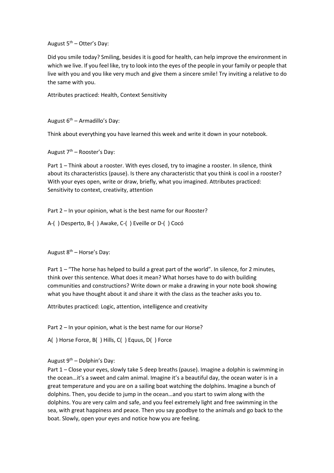August  $5<sup>th</sup>$  – Otter's Day:

Did you smile today? Smiling, besides it is good for health, can help improve the environment in which we live. If you feel like, try to look into the eyes of the people in your family or people that live with you and you like very much and give them a sincere smile! Try inviting a relative to do the same with you.

Attributes practiced: Health, Context Sensitivity

August  $6^{th}$  – Armadillo's Day:

Think about everything you have learned this week and write it down in your notebook.

August  $7<sup>th</sup>$  – Rooster's Day:

Part 1 – Think about a rooster. With eyes closed, try to imagine a rooster. In silence, think about its characteristics (pause). Is there any characteristic that you think is cool in a rooster? With your eyes open, write or draw, briefly, what you imagined. Attributes practiced: Sensitivity to context, creativity, attention

Part 2 – In your opinion, what is the best name for our Rooster?

A-( ) Desperto, B-( ) Awake, C-( ) Eveille or D-( ) Cocó

August  $8^{th}$  – Horse's Day:

Part 1 – "The horse has helped to build a great part of the world". In silence, for 2 minutes, think over this sentence. What does it mean? What horses have to do with building communities and constructions? Write down or make a drawing in your note book showing what you have thought about it and share it with the class as the teacher asks you to.

Attributes practiced: Logic, attention, intelligence and creativity

Part 2 – In your opinion, what is the best name for our Horse?

A( ) Horse Force, B( ) Hills, C( ) Equus, D( ) Force

August  $9<sup>th</sup>$  – Dolphin's Day:

Part 1 – Close your eyes, slowly take 5 deep breaths (pause). Imagine a dolphin is swimming in the ocean…it's a sweet and calm animal. Imagine it's a beautiful day, the ocean water is in a great temperature and you are on a sailing boat watching the dolphins. Imagine a bunch of dolphins. Then, you decide to jump in the ocean…and you start to swim along with the dolphins. You are very calm and safe, and you feel extremely light and free swimming in the sea, with great happiness and peace. Then you say goodbye to the animals and go back to the boat. Slowly, open your eyes and notice how you are feeling.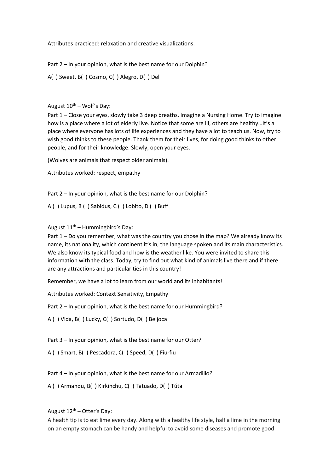Attributes practiced: relaxation and creative visualizations.

Part 2 – In your opinion, what is the best name for our Dolphin?

A( ) Sweet, B( ) Cosmo, C( ) Alegro, D( ) Del

August  $10^{th}$  – Wolf's Day:

Part 1 – Close your eyes, slowly take 3 deep breaths. Imagine a Nursing Home. Try to imagine how is a place where a lot of elderly live. Notice that some are ill, others are healthy…It's a place where everyone has lots of life experiences and they have a lot to teach us. Now, try to wish good thinks to these people. Thank them for their lives, for doing good thinks to other people, and for their knowledge. Slowly, open your eyes.

(Wolves are animals that respect older animals).

Attributes worked: respect, empathy

Part 2 – In your opinion, what is the best name for our Dolphin?

A ( ) Lupus, B ( ) Sabidus, C ( ) Lobito, D ( ) Buff

August  $11^{th}$  – Hummingbird's Day:

Part 1 – Do you remember, what was the country you chose in the map? We already know its name, its nationality, which continent it's in, the language spoken and its main characteristics. We also know its typical food and how is the weather like. You were invited to share this information with the class. Today, try to find out what kind of animals live there and if there are any attractions and particularities in this country!

Remember, we have a lot to learn from our world and its inhabitants!

Attributes worked: Context Sensitivity, Empathy

Part 2 – In your opinion, what is the best name for our Hummingbird?

A ( ) Vida, B( ) Lucky, C( ) Sortudo, D( ) Beijoca

Part 3 – In your opinion, what is the best name for our Otter?

A ( ) Smart, B( ) Pescadora, C( ) Speed, D( ) Fiu-fiu

Part 4 – In your opinion, what is the best name for our Armadillo?

A ( ) Armandu, B( ) Kirkinchu, C( ) Tatuado, D( ) Túta

# August  $12<sup>th</sup>$  – Otter's Day:

A health tip is to eat lime every day. Along with a healthy life style, half a lime in the morning on an empty stomach can be handy and helpful to avoid some diseases and promote good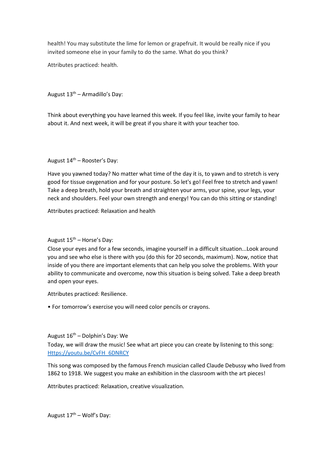health! You may substitute the lime for lemon or grapefruit. It would be really nice if you invited someone else in your family to do the same. What do you think?

Attributes practiced: health.

August  $13<sup>th</sup>$  – Armadillo's Day:

Think about everything you have learned this week. If you feel like, invite your family to hear about it. And next week, it will be great if you share it with your teacher too.

August 14th – Rooster's Day:

Have you yawned today? No matter what time of the day it is, to yawn and to stretch is very good for tissue oxygenation and for your posture. So let's go! Feel free to stretch and yawn! Take a deep breath, hold your breath and straighten your arms, your spine, your legs, your neck and shoulders. Feel your own strength and energy! You can do this sitting or standing!

Attributes practiced: Relaxation and health

August 15th – Horse's Day:

Close your eyes and for a few seconds, imagine yourself in a difficult situation...Look around you and see who else is there with you (do this for 20 seconds, maximum). Now, notice that inside of you there are important elements that can help you solve the problems. With your ability to communicate and overcome, now this situation is being solved. Take a deep breath and open your eyes.

Attributes practiced: Resilience.

• For tomorrow's exercise you will need color pencils or crayons.

August  $16<sup>th</sup>$  – Dolphin's Day: We

Today, we will draw the music! See what art piece you can create by listening to this song: Https://youtu.be/CvFH\_6DNRCY

This song was composed by the famous French musician called Claude Debussy who lived from 1862 to 1918. We suggest you make an exhibition in the classroom with the art pieces!

Attributes practiced: Relaxation, creative visualization.

August  $17<sup>th</sup>$  – Wolf's Day: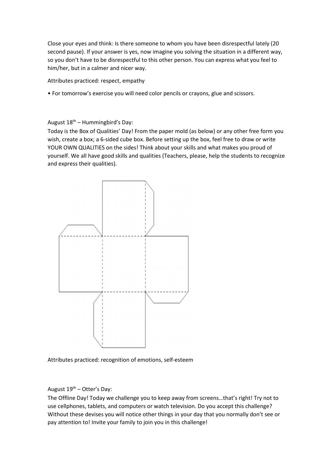Close your eyes and think: Is there someone to whom you have been disrespectful lately (20 second pause). If your answer is yes, now imagine you solving the situation in a different way, so you don't have to be disrespectful to this other person. You can express what you feel to him/her, but in a calmer and nicer way.

Attributes practiced: respect, empathy

• For tomorrow's exercise you will need color pencils or crayons, glue and scissors.

August  $18^{th}$  – Hummingbird's Day:

Today is the Box of Qualities' Day! From the paper mold (as below) or any other free form you wish, create a box; a 6-sided cube box. Before setting up the box, feel free to draw or write YOUR OWN QUALITIES on the sides! Think about your skills and what makes you proud of yourself. We all have good skills and qualities (Teachers, please, help the students to recognize and express their qualities).





### August 19<sup>th</sup> – Otter's Day:

The Offline Day! Today we challenge you to keep away from screens…that's right! Try not to use cellphones, tablets, and computers or watch television. Do you accept this challenge? Without these devises you will notice other things in your day that you normally don't see or pay attention to! Invite your family to join you in this challenge!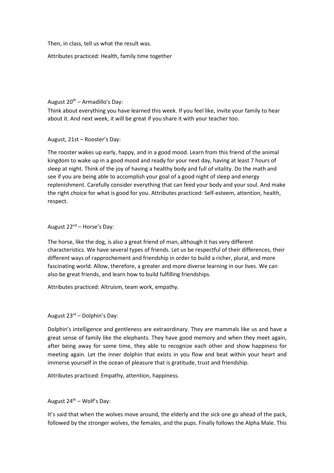Then, in class, tell us what the result was.

Attributes practiced: Health, family time together

August  $20^{th}$  – Armadillo's Day:

Think about everything you have learned this week. If you feel like, invite your family to hear about it. And next week, it will be great if you share it with your teacher too.

August, 21st – Rooster's Day:

The rooster wakes up early, happy, and in a good mood. Learn from this friend of the animal kingdom to wake up in a good mood and ready for your next day, having at least 7 hours of sleep at night. Think of the joy of having a healthy body and full of vitality. Do the math and see if you are being able to accomplish your goal of a good night of sleep and energy replenishment. Carefully consider everything that can feed your body and your soul. And make the right choice for what is good for you. Attributes practiced: Self-esteem, attention, health, respect.

August 22<sup>nd</sup> – Horse's Day:

The horse, like the dog, is also a great friend of man, although it has very different characteristics. We have several types of friends. Let us be respectful of their differences, their different ways of rapprochement and friendship in order to build a richer, plural, and more fascinating world. Allow, therefore, a greater and more diverse learning in our lives. We can also be great friends, and learn how to build fulfilling friendships.

Attributes practiced: Altruism, team work, empathy.

August 23rd – Dolphin's Day:

Dolphin's intelligence and gentleness are extraordinary. They are mammals like us and have a great sense of family like the elephants. They have good memory and when they meet again, after being away for some time, they able to recognize each other and show happiness for meeting again. Let the inner dolphin that exists in you flow and beat within your heart and immerse yourself in the ocean of pleasure that is gratitude, trust and friendship.

Attributes practiced: Empathy, attention, happiness.

August  $24^{th}$  – Wolf's Day:

It's said that when the wolves move around, the elderly and the sick one go ahead of the pack, followed by the stronger wolves, the females, and the pups. Finally follows the Alpha Male. This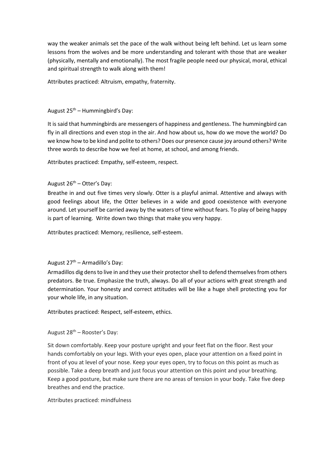way the weaker animals set the pace of the walk without being left behind. Let us learn some lessons from the wolves and be more understanding and tolerant with those that are weaker (physically, mentally and emotionally). The most fragile people need our physical, moral, ethical and spiritual strength to walk along with them!

Attributes practiced: Altruism, empathy, fraternity.

### August  $25^{th}$  – Hummingbird's Day:

It is said that hummingbirds are messengers of happiness and gentleness. The hummingbird can fly in all directions and even stop in the air. And how about us, how do we move the world? Do we know how to be kind and polite to others? Does our presence cause joy around others? Write three words to describe how we feel at home, at school, and among friends.

Attributes practiced: Empathy, self-esteem, respect.

# August 26<sup>th</sup> – Otter's Day:

Breathe in and out five times very slowly. Otter is a playful animal. Attentive and always with good feelings about life, the Otter believes in a wide and good coexistence with everyone around. Let yourself be carried away by the waters of time without fears. To play of being happy is part of learning. Write down two things that make you very happy.

Attributes practiced: Memory, resilience, self-esteem.

### August  $27<sup>th</sup>$  – Armadillo's Day:

Armadillos dig dens to live in and they use their protector shell to defend themselves from others predators. Be true. Emphasize the truth, always. Do all of your actions with great strength and determination. Your honesty and correct attitudes will be like a huge shell protecting you for your whole life, in any situation.

Attributes practiced: Respect, self-esteem, ethics.

#### August  $28<sup>th</sup>$  – Rooster's Day:

Sit down comfortably. Keep your posture upright and your feet flat on the floor. Rest your hands comfortably on your legs. With your eyes open, place your attention on a fixed point in front of you at level of your nose. Keep your eyes open, try to focus on this point as much as possible. Take a deep breath and just focus your attention on this point and your breathing. Keep a good posture, but make sure there are no areas of tension in your body. Take five deep breathes and end the practice.

#### Attributes practiced: mindfulness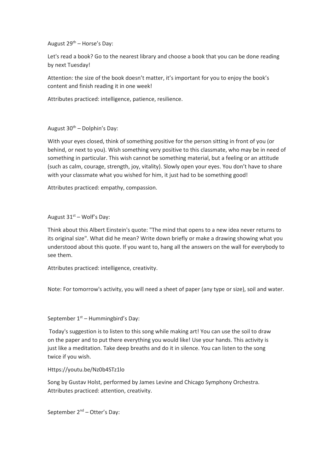August  $29<sup>th</sup>$  – Horse's Day:

Let's read a book? Go to the nearest library and choose a book that you can be done reading by next Tuesday!

Attention: the size of the book doesn't matter, it's important for you to enjoy the book's content and finish reading it in one week!

Attributes practiced: intelligence, patience, resilience.

August  $30<sup>th</sup>$  – Dolphin's Day:

With your eyes closed, think of something positive for the person sitting in front of you (or behind, or next to you). Wish something very positive to this classmate, who may be in need of something in particular. This wish cannot be something material, but a feeling or an attitude (such as calm, courage, strength, joy, vitality). Slowly open your eyes. You don't have to share with your classmate what you wished for him, it just had to be something good!

Attributes practiced: empathy, compassion.

August  $31<sup>st</sup>$  – Wolf's Day:

Think about this Albert Einstein's quote: "The mind that opens to a new idea never returns to its original size". What did he mean? Write down briefly or make a drawing showing what you understood about this quote. If you want to, hang all the answers on the wall for everybody to see them.

Attributes practiced: intelligence, creativity.

Note: For tomorrow's activity, you will need a sheet of paper (any type or size), soil and water.

September  $1<sup>st</sup>$  – Hummingbird's Day:

 Today's suggestion is to listen to this song while making art! You can use the soil to draw on the paper and to put there everything you would like! Use your hands. This activity is just like a meditation. Take deep breaths and do it in silence. You can listen to the song twice if you wish.

#### Https://youtu.be/Nz0b4STz1lo

Song by Gustav Holst, performed by James Levine and Chicago Symphony Orchestra. Attributes practiced: attention, creativity.

September 2<sup>nd</sup> – Otter's Day: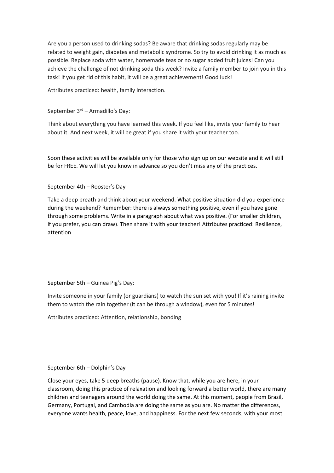Are you a person used to drinking sodas? Be aware that drinking sodas regularly may be related to weight gain, diabetes and metabolic syndrome. So try to avoid drinking it as much as possible. Replace soda with water, homemade teas or no sugar added fruit juices! Can you achieve the challenge of not drinking soda this week? Invite a family member to join you in this task! If you get rid of this habit, it will be a great achievement! Good luck!

Attributes practiced: health, family interaction.

September 3rd – Armadillo's Day:

Think about everything you have learned this week. If you feel like, invite your family to hear about it. And next week, it will be great if you share it with your teacher too.

Soon these activities will be available only for those who sign up on our website and it will still be for FREE. We will let you know in advance so you don't miss any of the practices.

September 4th – Rooster's Day

Take a deep breath and think about your weekend. What positive situation did you experience during the weekend? Remember: there is always something positive, even if you have gone through some problems. Write in a paragraph about what was positive. (For smaller children, if you prefer, you can draw). Then share it with your teacher! Attributes practiced: Resilience, attention

September 5th – Guinea Pig's Day:

Invite someone in your family (or guardians) to watch the sun set with you! If it's raining invite them to watch the rain together (it can be through a window), even for 5 minutes!

Attributes practiced: Attention, relationship, bonding

September 6th – Dolphin's Day

Close your eyes, take 5 deep breaths (pause). Know that, while you are here, in your classroom, doing this practice of relaxation and looking forward a better world, there are many children and teenagers around the world doing the same. At this moment, people from Brazil, Germany, Portugal, and Cambodia are doing the same as you are. No matter the differences, everyone wants health, peace, love, and happiness. For the next few seconds, with your most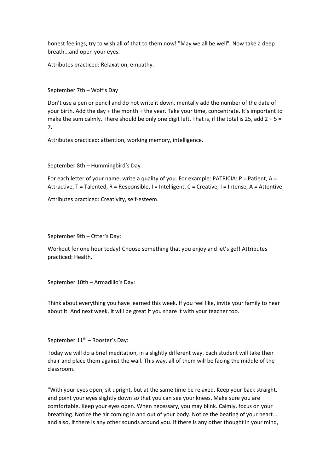honest feelings, try to wish all of that to them now! "May we all be well". Now take a deep breath...and open your eyes.

Attributes practiced: Relaxation, empathy.

September 7th – Wolf's Day

Don't use a pen or pencil and do not write it down, mentally add the number of the date of your birth. Add the day + the month + the year. Take your time, concentrate. It's important to make the sum calmly. There should be only one digit left. That is, if the total is 25, add  $2 + 5 =$ 7.

Attributes practiced: attention, working memory, intelligence.

September 8th – Hummingbird's Day

For each letter of your name, write a quality of you. For example: PATRICIA: P = Patient, A = Attractive, T = Talented, R = Responsible, I = Intelligent, C = Creative, I = Intense, A = Attentive

Attributes practiced: Creativity, self-esteem.

September 9th – Otter's Day:

Workout for one hour today! Choose something that you enjoy and let's go!! Attributes practiced: Health.

September 10th – Armadillo's Day:

Think about everything you have learned this week. If you feel like, invite your family to hear about it. And next week, it will be great if you share it with your teacher too.

September  $11<sup>th</sup>$  – Rooster's Day:

Today we will do a brief meditation, in a slightly different way. Each student will take their chair and place them against the wall. This way, all of them will be facing the middle of the classroom.

"With your eyes open, sit upright, but at the same time be relaxed. Keep your back straight, and point your eyes slightly down so that you can see your knees. Make sure you are comfortable. Keep your eyes open. When necessary, you may blink. Calmly, focus on your breathing. Notice the air coming in and out of your body. Notice the beating of your heart... and also, if there is any other sounds around you. If there is any other thought in your mind,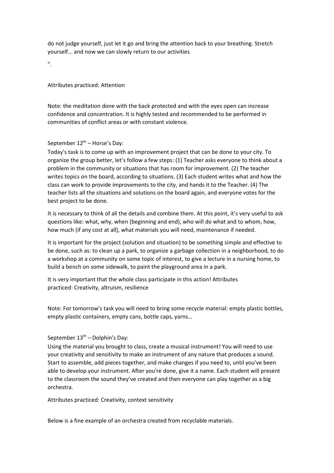do not judge yourself, just let it go and bring the attention back to your breathing. Stretch yourself... and now we can slowly return to our activities

".

#### Attributes practiced: Attention

Note: the meditation done with the back protected and with the eyes open can increase confidence and concentration. It is highly tested and recommended to be performed in communities of conflict areas or with constant violence.

### September 12<sup>th</sup> – Horse's Day:

Today's task is to come up with an improvement project that can be done to your city. To organize the group better, let's follow a few steps: (1) Teacher asks everyone to think about a problem in the community or situations that has room for improvement. (2) The teacher writes topics on the board, according to situations. (3) Each student writes what and how the class can work to provide improvements to the city, and hands it to the Teacher. (4) The teacher lists all the situations and solutions on the board again, and everyone votes for the best project to be done.

It is necessary to think of all the details and combine them. At this point, it's very useful to ask questions like: what, why, when (beginning and end), who will do what and to whom, how, how much (if any cost at all), what materials you will need, maintenance if needed.

It is important for the project (solution and situation) to be something simple and effective to be done, such as: to clean up a park, to organize a garbage collection in a neighborhood, to do a workshop at a community on some topic of interest, to give a lecture in a nursing home, to build a bench on some sidewalk, to paint the playground area in a park.

It is very important that the whole class participate in this action! Attributes practiced: Creativity, altruism, resilience

Note: For tomorrow's task you will need to bring some recycle material: empty plastic bottles, empty plastic containers, empty cans, bottle caps, yarns…

#### September  $13<sup>th</sup>$  – Dolphin's Day:

Using the material you brought to class, create a musical instrument! You will need to use your creativity and sensitivity to make an instrument of any nature that produces a sound. Start to assemble, add pieces together, and make changes if you need to, until you've been able to develop your instrument. After you're done, give it a name. Each student will present to the classroom the sound they've created and then everyone can play together as a big orchestra.

Attributes practiced: Creativity, context sensitivity

Below is a fine example of an orchestra created from recyclable materials.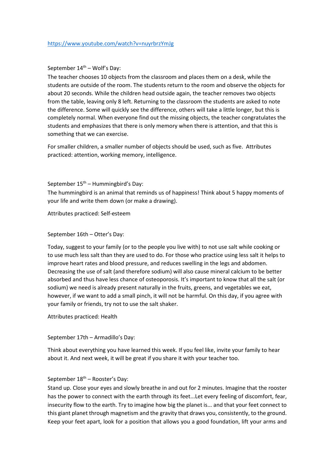#### September 14<sup>th</sup> – Wolf's Day:

The teacher chooses 10 objects from the classroom and places them on a desk, while the students are outside of the room. The students return to the room and observe the objects for about 20 seconds. While the children head outside again, the teacher removes two objects from the table, leaving only 8 left. Returning to the classroom the students are asked to note the difference. Some will quickly see the difference, others will take a little longer, but this is completely normal. When everyone find out the missing objects, the teacher congratulates the students and emphasizes that there is only memory when there is attention, and that this is something that we can exercise.

For smaller children, a smaller number of objects should be used, such as five. Attributes practiced: attention, working memory, intelligence.

September  $15<sup>th</sup>$  – Hummingbird's Day:

The hummingbird is an animal that reminds us of happiness! Think about 5 happy moments of your life and write them down (or make a drawing).

Attributes practiced: Self-esteem

#### September 16th – Otter's Day:

Today, suggest to your family (or to the people you live with) to not use salt while cooking or to use much less salt than they are used to do. For those who practice using less salt it helps to improve heart rates and blood pressure, and reduces swelling in the legs and abdomen. Decreasing the use of salt (and therefore sodium) will also cause mineral calcium to be better absorbed and thus have less chance of osteoporosis. It's important to know that all the salt (or sodium) we need is already present naturally in the fruits, greens, and vegetables we eat, however, if we want to add a small pinch, it will not be harmful. On this day, if you agree with your family or friends, try not to use the salt shaker.

Attributes practiced: Health

September 17th – Armadillo's Day:

Think about everything you have learned this week. If you feel like, invite your family to hear about it. And next week, it will be great if you share it with your teacher too.

### September 18<sup>th</sup> – Rooster's Day:

Stand up. Close your eyes and slowly breathe in and out for 2 minutes. Imagine that the rooster has the power to connect with the earth through its feet...Let every feeling of discomfort, fear, insecurity flow to the earth. Try to imagine how big the planet is... and that your feet connect to this giant planet through magnetism and the gravity that draws you, consistently, to the ground. Keep your feet apart, look for a position that allows you a good foundation, lift your arms and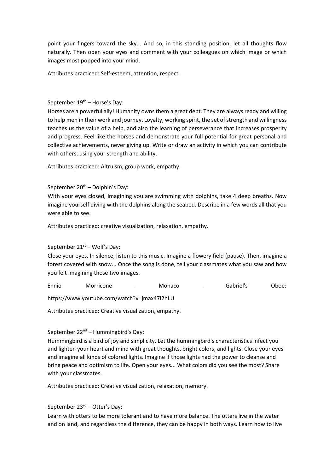point your fingers toward the sky... And so, in this standing position, let all thoughts flow naturally. Then open your eyes and comment with your colleagues on which image or which images most popped into your mind.

Attributes practiced: Self-esteem, attention, respect.

September 19<sup>th</sup> – Horse's Day:

Horses are a powerful ally! Humanity owns them a great debt. They are always ready and willing to help men in their work and journey. Loyalty, working spirit, the set of strength and willingness teaches us the value of a help, and also the learning of perseverance that increases prosperity and progress. Feel like the horses and demonstrate your full potential for great personal and collective achievements, never giving up. Write or draw an activity in which you can contribute with others, using your strength and ability.

Attributes practiced: Altruism, group work, empathy.

```
September 20^{th} – Dolphin's Day:
```
With your eyes closed, imagining you are swimming with dolphins, take 4 deep breaths. Now imagine yourself diving with the dolphins along the seabed. Describe in a few words all that you were able to see.

Attributes practiced: creative visualization, relaxation, empathy.

#### September  $21<sup>st</sup>$  – Wolf's Day:

Close your eyes. In silence, listen to this music. Imagine a flowery field (pause). Then, imagine a forest covered with snow... Once the song is done, tell your classmates what you saw and how you felt imagining those two images.

Ennio Morricone - Monaco - Gabriel's Oboe:

https://www.youtube.com/watch?v=jmax47l2hLU

Attributes practiced: Creative visualization, empathy.

#### September  $22^{nd}$  – Hummingbird's Day:

Hummingbird is a bird of joy and simplicity. Let the hummingbird's characteristics infect you and lighten your heart and mind with great thoughts, bright colors, and lights. Close your eyes and imagine all kinds of colored lights. Imagine if those lights had the power to cleanse and bring peace and optimism to life. Open your eyes... What colors did you see the most? Share with your classmates.

Attributes practiced: Creative visualization, relaxation, memory.

#### September 23rd – Otter's Day:

Learn with otters to be more tolerant and to have more balance. The otters live in the water and on land, and regardless the difference, they can be happy in both ways. Learn how to live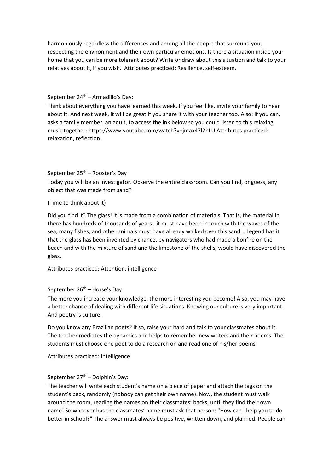harmoniously regardless the differences and among all the people that surround you, respecting the environment and their own particular emotions. Is there a situation inside your home that you can be more tolerant about? Write or draw about this situation and talk to your relatives about it, if you wish. Attributes practiced: Resilience, self-esteem.

#### September 24<sup>th</sup> – Armadillo's Day:

Think about everything you have learned this week. If you feel like, invite your family to hear about it. And next week, it will be great if you share it with your teacher too. Also: If you can, asks a family member, an adult, to access the ink below so you could listen to this relaxing music together: https://www.youtube.com/watch?v=jmax47l2hLU Attributes practiced: relaxation, reflection.

### September 25<sup>th</sup> – Rooster's Day

Today you will be an investigator. Observe the entire classroom. Can you find, or guess, any object that was made from sand?

(Time to think about it)

Did you find it? The glass! It is made from a combination of materials. That is, the material in there has hundreds of thousands of years...it must have been in touch with the waves of the sea, many fishes, and other animals must have already walked over this sand... Legend has it that the glass has been invented by chance, by navigators who had made a bonfire on the beach and with the mixture of sand and the limestone of the shells, would have discovered the glass.

Attributes practiced: Attention, intelligence

### September  $26<sup>th</sup>$  – Horse's Day

The more you increase your knowledge, the more interesting you become! Also, you may have a better chance of dealing with different life situations. Knowing our culture is very important. And poetry is culture.

Do you know any Brazilian poets? If so, raise your hard and talk to your classmates about it. The teacher mediates the dynamics and helps to remember new writers and their poems. The students must choose one poet to do a research on and read one of his/her poems.

Attributes practiced: Intelligence

### September  $27<sup>th</sup>$  – Dolphin's Day:

The teacher will write each student's name on a piece of paper and attach the tags on the student's back, randomly (nobody can get their own name). Now, the student must walk around the room, reading the names on their classmates' backs, until they find their own name! So whoever has the classmates' name must ask that person: "How can I help you to do better in school?" The answer must always be positive, written down, and planned. People can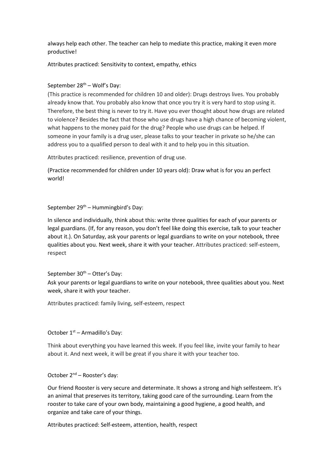always help each other. The teacher can help to mediate this practice, making it even more productive!

Attributes practiced: Sensitivity to context, empathy, ethics

#### September 28<sup>th</sup> – Wolf's Day:

(This practice is recommended for children 10 and older): Drugs destroys lives. You probably already know that. You probably also know that once you try it is very hard to stop using it. Therefore, the best thing is never to try it. Have you ever thought about how drugs are related to violence? Besides the fact that those who use drugs have a high chance of becoming violent, what happens to the money paid for the drug? People who use drugs can be helped. If someone in your family is a drug user, please talks to your teacher in private so he/she can address you to a qualified person to deal with it and to help you in this situation.

Attributes practiced: resilience, prevention of drug use.

(Practice recommended for children under 10 years old): Draw what is for you an perfect world!

## September 29<sup>th</sup> – Hummingbird's Day:

In silence and individually, think about this: write three qualities for each of your parents or legal guardians. (If, for any reason, you don't feel like doing this exercise, talk to your teacher about it.). On Saturday, ask your parents or legal guardians to write on your notebook, three qualities about you. Next week, share it with your teacher. Attributes practiced: self-esteem, respect

### September  $30<sup>th</sup>$  – Otter's Day:

Ask your parents or legal guardians to write on your notebook, three qualities about you. Next week, share it with your teacher.

Attributes practiced: family living, self-esteem, respect

October 1<sup>st</sup> – Armadillo's Day:

Think about everything you have learned this week. If you feel like, invite your family to hear about it. And next week, it will be great if you share it with your teacher too.

October  $2^{nd}$  – Rooster's day:

Our friend Rooster is very secure and determinate. It shows a strong and high selfesteem. It's an animal that preserves its territory, taking good care of the surrounding. Learn from the rooster to take care of your own body, maintaining a good hygiene, a good health, and organize and take care of your things.

Attributes practiced: Self-esteem, attention, health, respect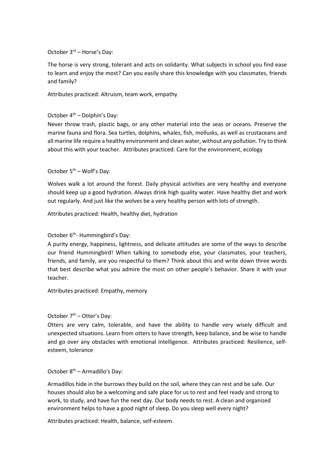#### October 3rd – Horse's Day:

The horse is very strong, tolerant and acts on solidarity. What subjects in school you find ease to learn and enjoy the most? Can you easily share this knowledge with you classmates, friends and family?

Attributes practiced: Altruism, team work, empathy

### October 4<sup>th</sup> – Dolphin's Day:

Never throw trash, plastic bags, or any other material into the seas or oceans. Preserve the marine fauna and flora. Sea turtles, dolphins, whales, fish, mollusks, as well as crustaceans and all marine life require a healthy environment and clean water, without any pollution. Try to think about this with your teacher. Attributes practiced: Care for the environment, ecology

# October  $5<sup>th</sup>$  – Wolf's Day:

Wolves walk a lot around the forest. Daily physical activities are very healthy and everyone should keep up a good hydration. Always drink high quality water. Have healthy diet and work out regularly. And just like the wolves be a very healthy person with lots of strength.

Attributes practiced: Health, healthy diet, hydration

#### October  $6<sup>th</sup>$ - Hummingbird's Day:

A purity energy, happiness, lightness, and delicate attitudes are some of the ways to describe our friend Hummingbird! When talking to somebody else, your classmates, your teachers, friends, and family, are you respectful to them? Think about this and write down three words that best describe what you admire the most on other people's behavior. Share it with your teacher.

Attributes practiced: Empathy, memory

#### October 7<sup>th</sup> – Otter's Day:

Otters are very calm, tolerable, and have the ability to handle very wisely difficult and unexpected situations. Learn from otters to have strength, keep balance, and be wise to handle and go over any obstacles with emotional intelligence. Attributes practiced: Resilience, selfesteem, tolerance

October 8<sup>th</sup> – Armadillo's Day:

Armadillos hide in the burrows they build on the soil, where they can rest and be safe. Our houses should also be a welcoming and safe place for us to rest and feel ready and strong to work, to study, and have fun the next day. Our body needs to rest. A clean and organized environment helps to have a good night of sleep. Do you sleep well every night?

Attributes practiced: Health, balance, self-esteem.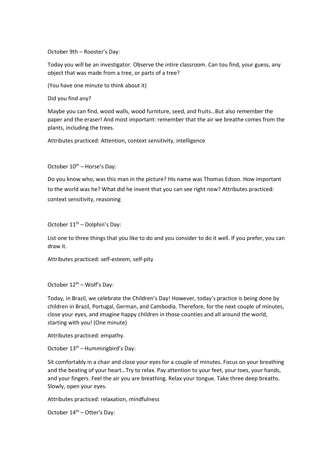October 9th – Rooster's Day:

Today you will be an investigator. Observe the intire classroom. Can tou find, your guess, any object that was made from a tree, or parts of a tree?

(You have one minute to think about it)

Did you find any?

Maybe you can find, wood walls, wood furniture, seed, and fruits…But also remember the paper and the eraser! And most important: remember that the air we breathe comes from the plants, including the trees.

Attributes practiced: Attention, context sensitivity, intelligence

October  $10^{th}$  – Horse's Day:

Do you know who, was this man in the picture? His name was Thomas Edson. How important to the world was he? What did he invent that you can see right now? Attributes practiced: context sensitivity, reasoning

October  $11<sup>th</sup>$  – Dolphin's Day:

List one to three things that you like to do and you consider to do it well. If you prefer, you can draw it.

Attributes practiced: self-esteem, self-pity

October  $12^{th}$  – Wolf's Day:

Today, in Brazil, we celebrate the Children's Day! However, today's practice is being done by children in Brazil, Portugal, German, and Cambodia. Therefore, for the next couple of minutes, close your eyes, and imagine happy children in those counties and all around the world, starting with you! (One minute)

Attributes practiced: empathy.

October 13<sup>th</sup> – Hummingbird's Day:

Sit comfortably in a chair and close your eyes for a couple of minutes. Focus on your breathing and the beating of your heart…Try to relax. Pay attention to your feet, your toes, your hands, and your fingers. Feel the air you are breathing. Relax your tongue. Take three deep breaths. Slowly, open your eyes.

Attributes practiced: relaxation, mindfulness

October  $14<sup>th</sup>$  – Otter's Day: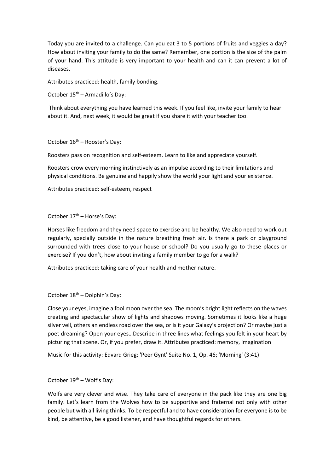Today you are invited to a challenge. Can you eat 3 to 5 portions of fruits and veggies a day? How about inviting your family to do the same? Remember, one portion is the size of the palm of your hand. This attitude is very important to your health and can it can prevent a lot of diseases.

Attributes practiced: health, family bonding.

October 15th – Armadillo's Day:

 Think about everything you have learned this week. If you feel like, invite your family to hear about it. And, next week, it would be great if you share it with your teacher too.

October 16<sup>th</sup> – Rooster's Day:

Roosters pass on recognition and self-esteem. Learn to like and appreciate yourself.

Roosters crow every morning instinctively as an impulse according to their limitations and physical conditions. Be genuine and happily show the world your light and your existence.

Attributes practiced: self-esteem, respect

October 17<sup>th</sup> – Horse's Day:

Horses like freedom and they need space to exercise and be healthy. We also need to work out regularly, specially outside in the nature breathing fresh air. Is there a park or playground surrounded with trees close to your house or school? Do you usually go to these places or exercise? If you don't, how about inviting a family member to go for a walk?

Attributes practiced: taking care of your health and mother nature.

October  $18^{th}$  – Dolphin's Day:

Close your eyes, imagine a fool moon over the sea. The moon's bright light reflects on the waves creating and spectacular show of lights and shadows moving. Sometimes it looks like a huge silver veil, others an endless road over the sea, or is it your Galaxy's projection? Or maybe just a poet dreaming? Open your eyes…Describe in three lines what feelings you felt in your heart by picturing that scene. Or, if you prefer, draw it. Attributes practiced: memory, imagination

Music for this activity: Edvard Grieg; 'Peer Gynt' Suite No. 1, Op. 46; 'Morning' (3:41)

October 19<sup>th</sup> – Wolf's Day:

Wolfs are very clever and wise. They take care of everyone in the pack like they are one big family. Let's learn from the Wolves how to be supportive and fraternal not only with other people but with all living thinks. To be respectful and to have consideration for everyone is to be kind, be attentive, be a good listener, and have thoughtful regards for others.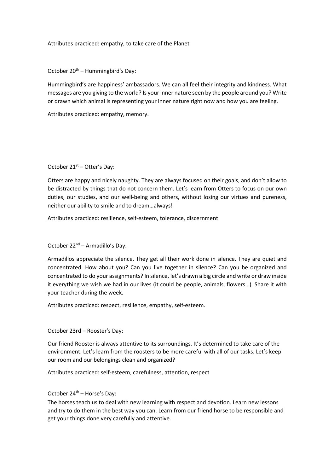#### Attributes practiced: empathy, to take care of the Planet

October 20<sup>th</sup> – Hummingbird's Day:

Hummingbird's are happiness' ambassadors. We can all feel their integrity and kindness. What messages are you giving to the world? Is your inner nature seen by the people around you? Write or drawn which animal is representing your inner nature right now and how you are feeling.

Attributes practiced: empathy, memory.

October 21<sup>st</sup> – Otter's Day:

Otters are happy and nicely naughty. They are always focused on their goals, and don't allow to be distracted by things that do not concern them. Let's learn from Otters to focus on our own duties, our studies, and our well-being and others, without losing our virtues and pureness, neither our ability to smile and to dream…always!

Attributes practiced: resilience, self-esteem, tolerance, discernment

October 22nd – Armadillo's Day:

Armadillos appreciate the silence. They get all their work done in silence. They are quiet and concentrated. How about you? Can you live together in silence? Can you be organized and concentrated to do your assignments? In silence, let's drawn a big circle and write or draw inside it everything we wish we had in our lives (it could be people, animals, flowers…). Share it with your teacher during the week.

Attributes practiced: respect, resilience, empathy, self-esteem.

October 23rd – Rooster's Day:

Our friend Rooster is always attentive to its surroundings. It's determined to take care of the environment. Let's learn from the roosters to be more careful with all of our tasks. Let's keep our room and our belongings clean and organized?

Attributes practiced: self-esteem, carefulness, attention, respect

October  $24<sup>th</sup>$  – Horse's Day:

The horses teach us to deal with new learning with respect and devotion. Learn new lessons and try to do them in the best way you can. Learn from our friend horse to be responsible and get your things done very carefully and attentive.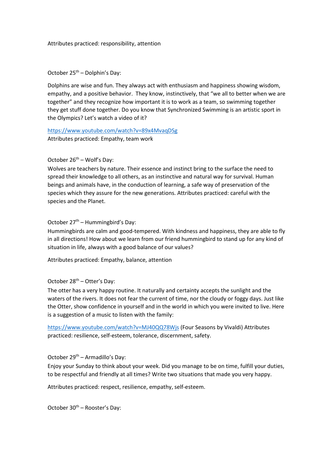#### Attributes practiced: responsibility, attention

October  $25<sup>th</sup>$  – Dolphin's Day:

Dolphins are wise and fun. They always act with enthusiasm and happiness showing wisdom, empathy, and a positive behavior. They know, instinctively, that "we all to better when we are together" and they recognize how important it is to work as a team, so swimming together they get stuff done together. Do you know that Synchronized Swimming is an artistic sport in the Olympics? Let's watch a video of it?

### https://www.youtube.com/watch?v=89x4MvaqDSg

Attributes practiced: Empathy, team work

#### October 26<sup>th</sup> – Wolf's Day:

Wolves are teachers by nature. Their essence and instinct bring to the surface the need to spread their knowledge to all others, as an instinctive and natural way for survival. Human beings and animals have, in the conduction of learning, a safe way of preservation of the species which they assure for the new generations. Attributes practiced: careful with the species and the Planet.

#### October  $27<sup>th</sup>$  – Hummingbird's Day:

Hummingbirds are calm and good-tempered. With kindness and happiness, they are able to fly in all directions! How about we learn from our friend hummingbird to stand up for any kind of situation in life, always with a good balance of our values?

Attributes practiced: Empathy, balance, attention

### October 28<sup>th</sup> – Otter's Day:

The otter has a very happy routine. It naturally and certainty accepts the sunlight and the waters of the rivers. It does not fear the current of time, nor the cloudy or foggy days. Just like the Otter, show confidence in yourself and in the world in which you were invited to live. Here is a suggestion of a music to listen with the family:

https://www.youtube.com/watch?v=MJ40QQ78Wjs (Four Seasons by Vivaldi) Attributes practiced: resilience, self-esteem, tolerance, discernment, safety.

October 29th – Armadillo's Day:

Enjoy your Sunday to think about your week. Did you manage to be on time, fulfill your duties, to be respectful and friendly at all times? Write two situations that made you very happy.

Attributes practiced: respect, resilience, empathy, self-esteem.

October 30<sup>th</sup> – Rooster's Day: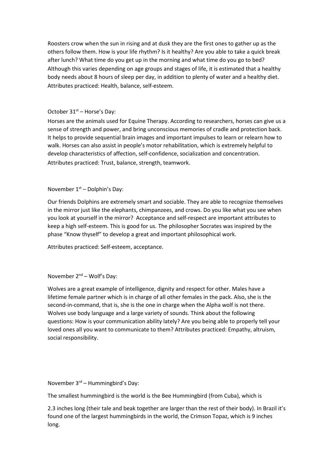Roosters crow when the sun in rising and at dusk they are the first ones to gather up as the others follow them. How is your life rhythm? Is it healthy? Are you able to take a quick break after lunch? What time do you get up in the morning and what time do you go to bed? Although this varies depending on age groups and stages of life, it is estimated that a healthy body needs about 8 hours of sleep per day, in addition to plenty of water and a healthy diet. Attributes practiced: Health, balance, self-esteem.

# October  $31<sup>st</sup>$  – Horse's Day:

Horses are the animals used for Equine Therapy. According to researchers, horses can give us a sense of strength and power, and bring unconscious memories of cradle and protection back. It helps to provide sequential brain images and important impulses to learn or relearn how to walk. Horses can also assist in people's motor rehabilitation, which is extremely helpful to develop characteristics of affection, self-confidence, socialization and concentration. Attributes practiced: Trust, balance, strength, teamwork.

# November  $1<sup>st</sup>$  – Dolphin's Day:

Our friends Dolphins are extremely smart and sociable. They are able to recognize themselves in the mirror just like the elephants, chimpanzees, and crows. Do you like what you see when you look at yourself in the mirror? Acceptance and self-respect are important attributes to keep a high self-esteem. This is good for us. The philosopher Socrates was inspired by the phase "Know thyself" to develop a great and important philosophical work.

Attributes practiced: Self-esteem, acceptance.

### November  $2^{nd}$  – Wolf's Day:

Wolves are a great example of intelligence, dignity and respect for other. Males have a lifetime female partner which is in charge of all other females in the pack. Also, she is the second-in-command, that is, she is the one in charge when the Alpha wolf is not there. Wolves use body language and a large variety of sounds. Think about the following questions: How is your communication ability lately? Are you being able to properly tell your loved ones all you want to communicate to them? Attributes practiced: Empathy, altruism, social responsibility.

November 3rd – Hummingbird's Day:

The smallest hummingbird is the world is the Bee Hummingbird (from Cuba), which is

2.3 inches long (their tale and beak together are larger than the rest of their body). In Brazil it's found one of the largest hummingbirds in the world, the Crimson Topaz, which is 9 inches long.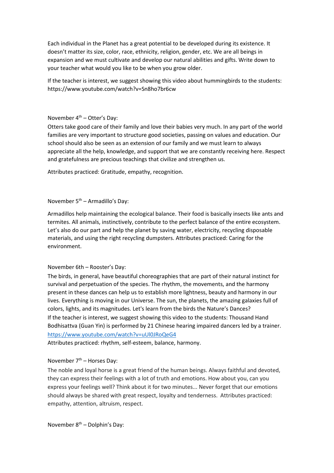Each individual in the Planet has a great potential to be developed during its existence. It doesn't matter its size, color, race, ethnicity, religion, gender, etc. We are all beings in expansion and we must cultivate and develop our natural abilities and gifts. Write down to your teacher what would you like to be when you grow older.

If the teacher is interest, we suggest showing this video about hummingbirds to the students: https://www.youtube.com/watch?v=Sn8ho7br6cw

### November  $4<sup>th</sup>$  – Otter's Day:

Otters take good care of their family and love their babies very much. In any part of the world families are very important to structure good societies, passing on values and education. Our school should also be seen as an extension of our family and we must learn to always appreciate all the help, knowledge, and support that we are constantly receiving here. Respect and gratefulness are precious teachings that civilize and strengthen us.

Attributes practiced: Gratitude, empathy, recognition.

### November  $5<sup>th</sup>$  – Armadillo's Day:

Armadillos help maintaining the ecological balance. Their food is basically insects like ants and termites. All animals, instinctively, contribute to the perfect balance of the entire ecosystem. Let's also do our part and help the planet by saving water, electricity, recycling disposable materials, and using the right recycling dumpsters. Attributes practiced: Caring for the environment.

### November 6th – Rooster's Day:

The birds, in general, have beautiful choreographies that are part of their natural instinct for survival and perpetuation of the species. The rhythm, the movements, and the harmony present in these dances can help us to establish more lightness, beauty and harmony in our lives. Everything is moving in our Universe. The sun, the planets, the amazing galaxies full of colors, lights, and its magnitudes. Let's learn from the birds the Nature's Dances? If the teacher is interest, we suggest showing this video to the students: Thousand Hand Bodhisattva (Guan Yin) is performed by 21 Chinese hearing impaired dancers led by a trainer. https://www.youtube.com/watch?v=uUl0JRoQeG4

Attributes practiced: rhythm, self-esteem, balance, harmony.

## November  $7<sup>th</sup>$  – Horses Day:

The noble and loyal horse is a great friend of the human beings. Always faithful and devoted, they can express their feelings with a lot of truth and emotions. How about you, can you express your feelings well? Think about it for two minutes... Never forget that our emotions should always be shared with great respect, loyalty and tenderness. Attributes practiced: empathy, attention, altruism, respect.

November  $8<sup>th</sup>$  – Dolphin's Day: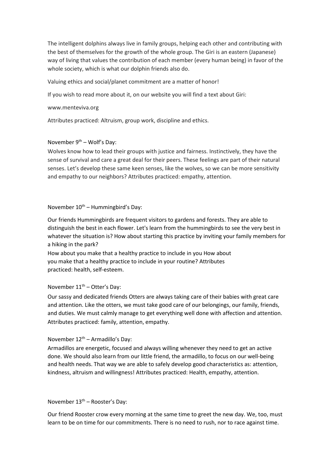The intelligent dolphins always live in family groups, helping each other and contributing with the best of themselves for the growth of the whole group. The Giri is an eastern (Japanese) way of living that values the contribution of each member (every human being) in favor of the whole society, which is what our dolphin friends also do.

Valuing ethics and social/planet commitment are a matter of honor!

If you wish to read more about it, on our website you will find a text about Giri:

#### www.menteviva.org

Attributes practiced: Altruism, group work, discipline and ethics.

### November  $9^{th}$  – Wolf's Day:

Wolves know how to lead their groups with justice and fairness. Instinctively, they have the sense of survival and care a great deal for their peers. These feelings are part of their natural senses. Let's develop these same keen senses, like the wolves, so we can be more sensitivity and empathy to our neighbors? Attributes practiced: empathy, attention.

### November  $10^{th}$  – Hummingbird's Day:

Our friends Hummingbirds are frequent visitors to gardens and forests. They are able to distinguish the best in each flower. Let's learn from the hummingbirds to see the very best in whatever the situation is? How about starting this practice by inviting your family members for a hiking in the park?

How about you make that a healthy practice to include in you How about you make that a healthy practice to include in your routine? Attributes practiced: health, self-esteem.

### November  $11<sup>th</sup>$  – Otter's Day:

Our sassy and dedicated friends Otters are always taking care of their babies with great care and attention. Like the otters, we must take good care of our belongings, our family, friends, and duties. We must calmly manage to get everything well done with affection and attention. Attributes practiced: family, attention, empathy.

### November  $12<sup>th</sup>$  – Armadillo's Day:

Armadillos are energetic, focused and always willing whenever they need to get an active done. We should also learn from our little friend, the armadillo, to focus on our well-being and health needs. That way we are able to safely develop good characteristics as: attention, kindness, altruism and willingness! Attributes practiced: Health, empathy, attention.

### November  $13<sup>th</sup>$  – Rooster's Day:

Our friend Rooster crow every morning at the same time to greet the new day. We, too, must learn to be on time for our commitments. There is no need to rush, nor to race against time.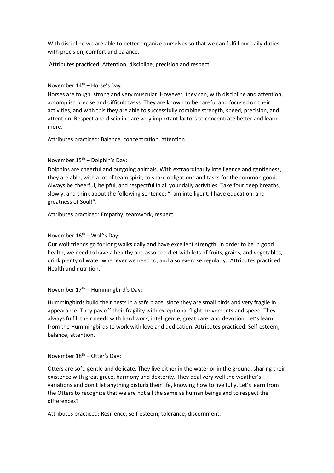With discipline we are able to better organize ourselves so that we can fulfill our daily duties with precision, comfort and balance.

Attributes practiced: Attention, discipline, precision and respect.

## November  $14<sup>th</sup>$  – Horse's Day:

Horses are tough, strong and very muscular. However, they can, with discipline and attention, accomplish precise and difficult tasks. They are known to be careful and focused on their activities, and with this they are able to successfully combine strength, speed, precision, and attention. Respect and discipline are very important factors to concentrate better and learn more.

Attributes practiced: Balance, concentration, attention.

# November  $15<sup>th</sup>$  – Dolphin's Day:

Dolphins are cheerful and outgoing animals. With extraordinarily intelligence and gentleness, they are able, with a lot of team spirit, to share obligations and tasks for the common good. Always be cheerful, helpful, and respectful in all your daily activities. Take four deep breaths, slowly, and think about the following sentence: "I am intelligent, I have education, and greatness of Soul!".

Attributes practiced: Empathy, teamwork, respect.

# November  $16<sup>th</sup>$  – Wolf's Day:

Our wolf friends go for long walks daily and have excellent strength. In order to be in good health, we need to have a healthy and assorted diet with lots of fruits, grains, and vegetables, drink plenty of water whenever we need to, and also exercise regularly. Attributes practiced: Health and nutrition.

November 17th – Hummingbird's Day:

Hummingbirds build their nests in a safe place, since they are small birds and very fragile in appearance. They pay off their fragility with exceptional flight movements and speed. They always fulfill their needs with hard work, intelligence, great care, and devotion. Let's learn from the Hummingbirds to work with love and dedication. Attributes practiced: Self-esteem, balance, attention.

### November  $18<sup>th</sup>$  – Otter's Day:

Otters are soft, gentle and delicate. They live either in the water or in the ground, sharing their existence with great grace, harmony and dexterity. They deal very well the weather's variations and don't let anything disturb their life, knowing how to live fully. Let's learn from the Otters to recognize that we are not all the same as human beings and to respect the differences?

Attributes practiced: Resilience, self-esteem, tolerance, discernment.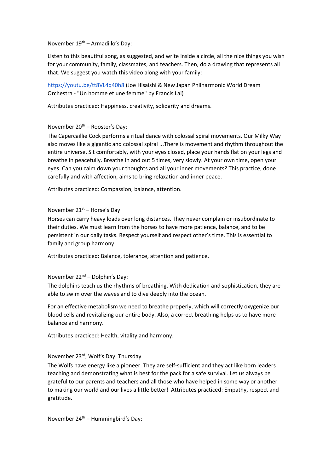### November 19<sup>th</sup> – Armadillo's Day:

Listen to this beautiful song, as suggested, and write inside a circle, all the nice things you wish for your community, family, classmates, and teachers. Then, do a drawing that represents all that. We suggest you watch this video along with your family:

https://youtu.be/tt8VL4q40h8 (Joe Hisaishi & New Japan Philharmonic World Dream Orchestra - "Un homme et une femme" by Francis Lai)

Attributes practiced: Happiness, creativity, solidarity and dreams.

### November 20<sup>th</sup> – Rooster's Day:

The Capercaillie Cock performs a ritual dance with colossal spiral movements. Our Milky Way also moves like a gigantic and colossal spiral ...There is movement and rhythm throughout the entire universe. Sit comfortably, with your eyes closed, place your hands flat on your legs and breathe in peacefully. Breathe in and out 5 times, very slowly. At your own time, open your eyes. Can you calm down your thoughts and all your inner movements? This practice, done carefully and with affection, aims to bring relaxation and inner peace.

Attributes practiced: Compassion, balance, attention.

#### November  $21^{st}$  – Horse's Day:

Horses can carry heavy loads over long distances. They never complain or insubordinate to their duties. We must learn from the horses to have more patience, balance, and to be persistent in our daily tasks. Respect yourself and respect other's time. This is essential to family and group harmony.

Attributes practiced: Balance, tolerance, attention and patience.

#### November 22nd – Dolphin's Day:

The dolphins teach us the rhythms of breathing. With dedication and sophistication, they are able to swim over the waves and to dive deeply into the ocean.

For an effective metabolism we need to breathe properly, which will correctly oxygenize our blood cells and revitalizing our entire body. Also, a correct breathing helps us to have more balance and harmony.

Attributes practiced: Health, vitality and harmony.

# November 23rd, Wolf's Day: Thursday

The Wolfs have energy like a pioneer. They are self-sufficient and they act like born leaders teaching and demonstrating what is best for the pack for a safe survival. Let us always be grateful to our parents and teachers and all those who have helped in some way or another to making our world and our lives a little better! Attributes practiced: Empathy, respect and gratitude.

November  $24<sup>th</sup>$  – Hummingbird's Day: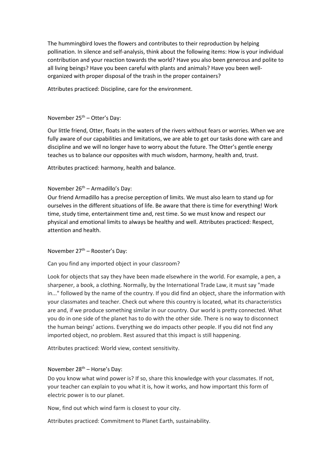The hummingbird loves the flowers and contributes to their reproduction by helping pollination. In silence and self-analysis, think about the following items: How is your individual contribution and your reaction towards the world? Have you also been generous and polite to all living beings? Have you been careful with plants and animals? Have you been wellorganized with proper disposal of the trash in the proper containers?

Attributes practiced: Discipline, care for the environment.

## November 25th – Otter's Day:

Our little friend, Otter, floats in the waters of the rivers without fears or worries. When we are fully aware of our capabilities and limitations, we are able to get our tasks done with care and discipline and we will no longer have to worry about the future. The Otter's gentle energy teaches us to balance our opposites with much wisdom, harmony, health and, trust.

Attributes practiced: harmony, health and balance.

# November 26th – Armadillo's Day:

Our friend Armadillo has a precise perception of limits. We must also learn to stand up for ourselves in the different situations of life. Be aware that there is time for everything! Work time, study time, entertainment time and, rest time. So we must know and respect our physical and emotional limits to always be healthy and well. Attributes practiced: Respect, attention and health.

### November  $27<sup>th</sup>$  – Rooster's Day:

Can you find any imported object in your classroom?

Look for objects that say they have been made elsewhere in the world. For example, a pen, a sharpener, a book, a clothing. Normally, by the International Trade Law, it must say "made in..." followed by the name of the country. If you did find an object, share the information with your classmates and teacher. Check out where this country is located, what its characteristics are and, if we produce something similar in our country. Our world is pretty connected. What you do in one side of the planet has to do with the other side. There is no way to disconnect the human beings' actions. Everything we do impacts other people. If you did not find any imported object, no problem. Rest assured that this impact is still happening.

Attributes practiced: World view, context sensitivity.

# November 28<sup>th</sup> – Horse's Day:

Do you know what wind power is? If so, share this knowledge with your classmates. If not, your teacher can explain to you what it is, how it works, and how important this form of electric power is to our planet.

Now, find out which wind farm is closest to your city.

Attributes practiced: Commitment to Planet Earth, sustainability.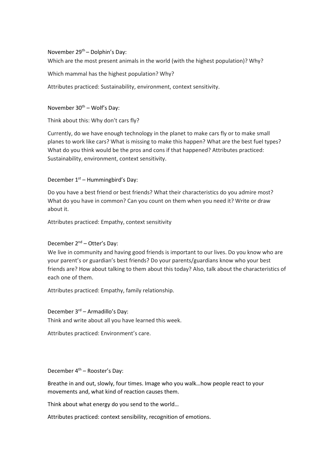November 29th – Dolphin's Day:

Which are the most present animals in the world (with the highest population)? Why?

Which mammal has the highest population? Why?

Attributes practiced: Sustainability, environment, context sensitivity.

November 30<sup>th</sup> – Wolf's Day:

Think about this: Why don't cars fly?

Currently, do we have enough technology in the planet to make cars fly or to make small planes to work like cars? What is missing to make this happen? What are the best fuel types? What do you think would be the pros and cons if that happened? Attributes practiced: Sustainability, environment, context sensitivity.

December 1<sup>st</sup> – Hummingbird's Dav:

Do you have a best friend or best friends? What their characteristics do you admire most? What do you have in common? Can you count on them when you need it? Write or draw about it.

Attributes practiced: Empathy, context sensitivity

# December 2nd – Otter's Day:

We live in community and having good friends is important to our lives. Do you know who are your parent's or guardian's best friends? Do your parents/guardians know who your best friends are? How about talking to them about this today? Also, talk about the characteristics of each one of them.

Attributes practiced: Empathy, family relationship.

# December 3rd – Armadillo's Day:

Think and write about all you have learned this week.

Attributes practiced: Environment's care.

### December 4th – Rooster's Day:

Breathe in and out, slowly, four times. Image who you walk…how people react to your movements and, what kind of reaction causes them.

Think about what energy do you send to the world…

Attributes practiced: context sensibility, recognition of emotions.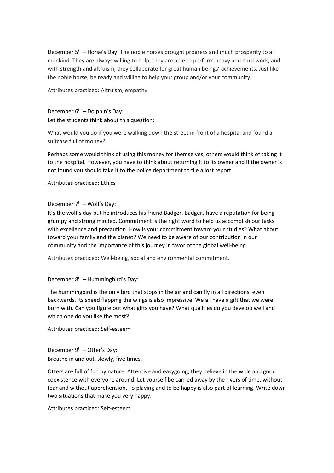December  $5<sup>th</sup>$  – Horse's Day: The noble horses brought progress and much prosperity to all mankind. They are always willing to help, they are able to perform heavy and hard work, and with strength and altruism, they collaborate for great human beings' achievements. Just like the noble horse, be ready and willing to help your group and/or your community!

Attributes practiced: Altruism, empathy

December  $6<sup>th</sup>$  – Dolphin's Day: Let the students think about this question:

What would you do if you were walking down the street in front of a hospital and found a suitcase full of money?

Perhaps some would think of using this money for themselves, others would think of taking it to the hospital. However, you have to think about returning it to its owner and if the owner is not found you should take it to the police department to file a lost report.

Attributes practiced: Ethics

December  $7<sup>th</sup>$  – Wolf's Day:

It's the wolf's day but he introduces his friend Badger. Badgers have a reputation for being grumpy and strong minded. Commitment is the right word to help us accomplish our tasks with excellence and precaution. How is your commitment toward your studies? What about toward your family and the planet? We need to be aware of our contribution in our community and the importance of this journey in favor of the global well-being.

Attributes practiced: Well-being, social and environmental commitment.

December 8<sup>th</sup> – Hummingbird's Day:

The hummingbird is the only bird that stops in the air and can fly in all directions, even backwards. Its speed flapping the wings is also impressive. We all have a gift that we were born with. Can you figure out what gifts you have? What qualities do you develop well and which one do you like the most?

Attributes practiced: Self-esteem

December  $9<sup>th</sup>$  – Otter's Day: Breathe in and out, slowly, five times.

Otters are full of fun by nature. Attentive and easygoing, they believe in the wide and good coexistence with everyone around. Let yourself be carried away by the rivers of time, without fear and without apprehension. To playing and to be happy is also part of learning. Write down two situations that make you very happy.

Attributes practiced: Self-esteem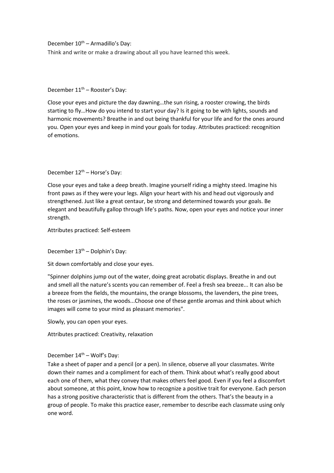December  $10^{th}$  – Armadillo's Day:

Think and write or make a drawing about all you have learned this week.

December  $11^{th}$  – Rooster's Day:

Close your eyes and picture the day dawning…the sun rising, a rooster crowing, the birds starting to fly…How do you intend to start your day? Is it going to be with lights, sounds and harmonic movements? Breathe in and out being thankful for your life and for the ones around you. Open your eyes and keep in mind your goals for today. Attributes practiced: recognition of emotions.

December 12<sup>th</sup> – Horse's Day:

Close your eyes and take a deep breath. Imagine yourself riding a mighty steed. Imagine his front paws as if they were your legs. Align your heart with his and head out vigorously and strengthened. Just like a great centaur, be strong and determined towards your goals. Be elegant and beautifully gallop through life's paths. Now, open your eyes and notice your inner strength.

Attributes practiced: Self-esteem

December  $13<sup>th</sup>$  – Dolphin's Day:

Sit down comfortably and close your eyes.

"Spinner dolphins jump out of the water, doing great acrobatic displays. Breathe in and out and smell all the nature's scents you can remember of. Feel a fresh sea breeze... It can also be a breeze from the fields, the mountains, the orange blossoms, the lavenders, the pine trees, the roses or jasmines, the woods...Choose one of these gentle aromas and think about which images will come to your mind as pleasant memories".

Slowly, you can open your eyes.

Attributes practiced: Creativity, relaxation

December 14th – Wolf's Day:

Take a sheet of paper and a pencil (or a pen). In silence, observe all your classmates. Write down their names and a compliment for each of them. Think about what's really good about each one of them, what they convey that makes others feel good. Even if you feel a discomfort about someone, at this point, know how to recognize a positive trait for everyone. Each person has a strong positive characteristic that is different from the others. That's the beauty in a group of people. To make this practice easer, remember to describe each classmate using only one word.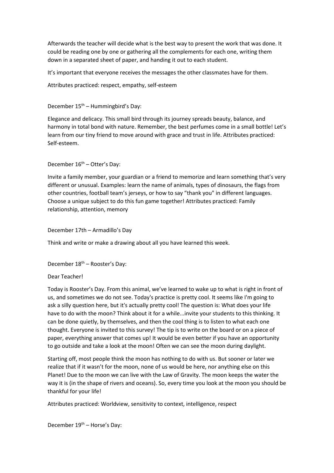Afterwards the teacher will decide what is the best way to present the work that was done. It could be reading one by one or gathering all the complements for each one, writing them down in a separated sheet of paper, and handing it out to each student.

It's important that everyone receives the messages the other classmates have for them.

Attributes practiced: respect, empathy, self-esteem

December 15<sup>th</sup> – Hummingbird's Day:

Elegance and delicacy. This small bird through its journey spreads beauty, balance, and harmony in total bond with nature. Remember, the best perfumes come in a small bottle! Let's learn from our tiny friend to move around with grace and trust in life. Attributes practiced: Self-esteem.

December 16<sup>th</sup> – Otter's Day:

Invite a family member, your guardian or a friend to memorize and learn something that's very different or unusual. Examples: learn the name of animals, types of dinosaurs, the flags from other countries, football team's jerseys, or how to say "thank you" in different languages. Choose a unique subject to do this fun game together! Attributes practiced: Family relationship, attention, memory

### December 17th – Armadillo's Day

Think and write or make a drawing about all you have learned this week.

December 18th – Rooster's Day:

### Dear Teacher!

Today is Rooster's Day. From this animal, we've learned to wake up to what is right in front of us, and sometimes we do not see. Today's practice is pretty cool. It seems like I'm going to ask a silly question here, but it's actually pretty cool! The question is: What does your life have to do with the moon? Think about it for a while...invite your students to this thinking. It can be done quietly, by themselves, and then the cool thing is to listen to what each one thought. Everyone is invited to this survey! The tip is to write on the board or on a piece of paper, everything answer that comes up! It would be even better if you have an opportunity to go outside and take a look at the moon! Often we can see the moon during daylight.

Starting off, most people think the moon has nothing to do with us. But sooner or later we realize that if it wasn't for the moon, none of us would be here, nor anything else on this Planet! Due to the moon we can live with the Law of Gravity. The moon keeps the water the way it is (in the shape of rivers and oceans). So, every time you look at the moon you should be thankful for your life!

Attributes practiced: Worldview, sensitivity to context, intelligence, respect

December 19<sup>th</sup> – Horse's Day: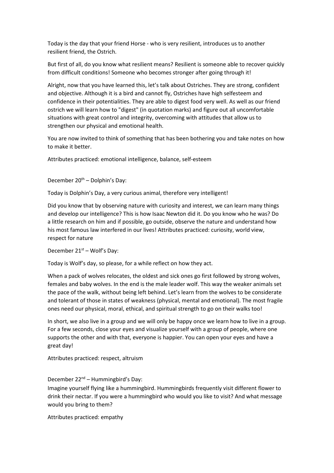Today is the day that your friend Horse - who is very resilient, introduces us to another resilient friend, the Ostrich.

But first of all, do you know what resilient means? Resilient is someone able to recover quickly from difficult conditions! Someone who becomes stronger after going through it!

Alright, now that you have learned this, let's talk about Ostriches. They are strong, confident and objective. Although it is a bird and cannot fly, Ostriches have high selfesteem and confidence in their potentialities. They are able to digest food very well. As well as our friend ostrich we will learn how to "digest" (in quotation marks) and figure out all uncomfortable situations with great control and integrity, overcoming with attitudes that allow us to strengthen our physical and emotional health.

You are now invited to think of something that has been bothering you and take notes on how to make it better.

Attributes practiced: emotional intelligence, balance, self-esteem

December  $20<sup>th</sup>$  – Dolphin's Day:

Today is Dolphin's Day, a very curious animal, therefore very intelligent!

Did you know that by observing nature with curiosity and interest, we can learn many things and develop our intelligence? This is how Isaac Newton did it. Do you know who he was? Do a little research on him and if possible, go outside, observe the nature and understand how his most famous law interfered in our lives! Attributes practiced: curiosity, world view, respect for nature

December 21<sup>st</sup> – Wolf's Day:

Today is Wolf's day, so please, for a while reflect on how they act.

When a pack of wolves relocates, the oldest and sick ones go first followed by strong wolves, females and baby wolves. In the end is the male leader wolf. This way the weaker animals set the pace of the walk, without being left behind. Let's learn from the wolves to be considerate and tolerant of those in states of weakness (physical, mental and emotional). The most fragile ones need our physical, moral, ethical, and spiritual strength to go on their walks too!

In short, we also live in a group and we will only be happy once we learn how to live in a group. For a few seconds, close your eyes and visualize yourself with a group of people, where one supports the other and with that, everyone is happier. You can open your eyes and have a great day!

Attributes practiced: respect, altruism

December 22nd – Hummingbird's Day:

Imagine yourself flying like a hummingbird. Hummingbirds frequently visit different flower to drink their nectar. If you were a hummingbird who would you like to visit? And what message would you bring to them?

Attributes practiced: empathy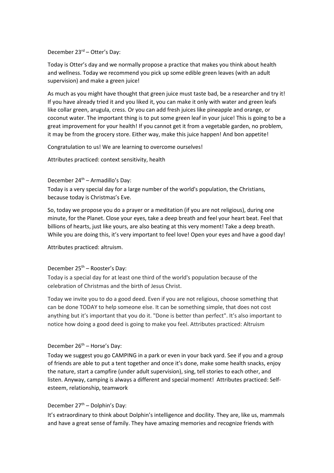December 23rd – Otter's Day:

Today is Otter's day and we normally propose a practice that makes you think about health and wellness. Today we recommend you pick up some edible green leaves (with an adult supervision) and make a green juice!

As much as you might have thought that green juice must taste bad, be a researcher and try it! If you have already tried it and you liked it, you can make it only with water and green leafs like collar green, arugula, cress. Or you can add fresh juices like pineapple and orange, or coconut water. The important thing is to put some green leaf in your juice! This is going to be a great improvement for your health! If you cannot get it from a vegetable garden, no problem, it may be from the grocery store. Either way, make this juice happen! And bon appetite!

Congratulation to us! We are learning to overcome ourselves!

Attributes practiced: context sensitivity, health

December 24<sup>th</sup> – Armadillo's Day:

Today is a very special day for a large number of the world's population, the Christians, because today is Christmas's Eve.

So, today we propose you do a prayer or a meditation (if you are not religious), during one minute, for the Planet. Close your eyes, take a deep breath and feel your heart beat. Feel that billions of hearts, just like yours, are also beating at this very moment! Take a deep breath. While you are doing this, it's very important to feel love! Open your eyes and have a good day!

Attributes practiced: altruism.

#### December 25th – Rooster's Day:

Today is a special day for at least one third of the world's population because of the celebration of Christmas and the birth of Jesus Christ.

Today we invite you to do a good deed. Even if you are not religious, choose something that can be done TODAY to help someone else. It can be something simple, that does not cost anything but it's important that you do it. "Done is better than perfect". It's also important to notice how doing a good deed is going to make you feel. Attributes practiced: Altruism

### December  $26<sup>th</sup>$  – Horse's Day:

Today we suggest you go CAMPING in a park or even in your back yard. See if you and a group of friends are able to put a tent together and once it's done, make some health snacks, enjoy the nature, start a campfire (under adult supervision), sing, tell stories to each other, and listen. Anyway, camping is always a different and special moment! Attributes practiced: Selfesteem, relationship, teamwork

### December  $27<sup>th</sup>$  – Dolphin's Day:

It's extraordinary to think about Dolphin's intelligence and docility. They are, like us, mammals and have a great sense of family. They have amazing memories and recognize friends with